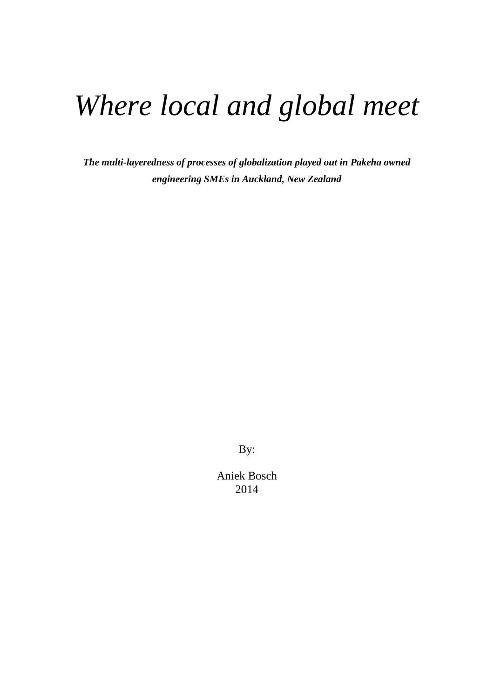# *Where local and global meet*

*The multi-layeredness of processes of globalization played out in Pakeha owned engineering SMEs in Auckland, New Zealand* 

By:

Aniek Bosch 2014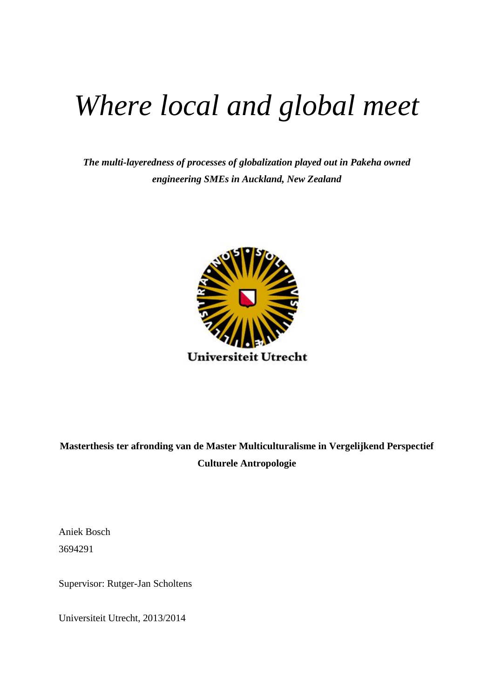# *Where local and global meet*

*The multi-layeredness of processes of globalization played out in Pakeha owned engineering SMEs in Auckland, New Zealand* 



# **Masterthesis ter afronding van de Master Multiculturalisme in Vergelijkend Perspectief Culturele Antropologie**

Aniek Bosch 3694291

Supervisor: Rutger-Jan Scholtens

Universiteit Utrecht, 2013/2014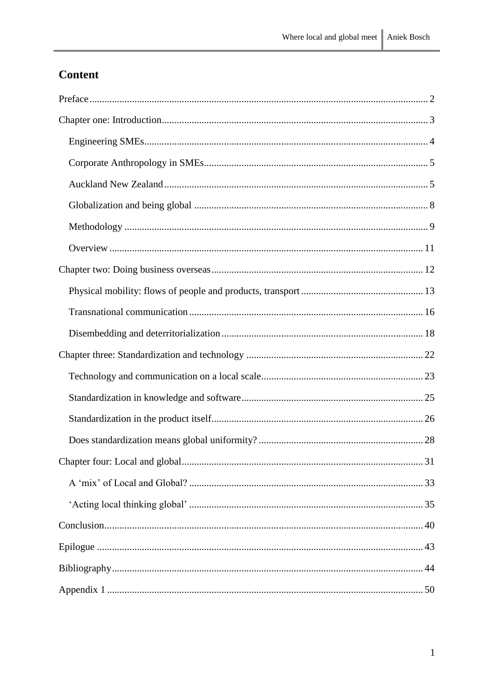# Content

| 31 |
|----|
|    |
|    |
|    |
|    |
|    |
|    |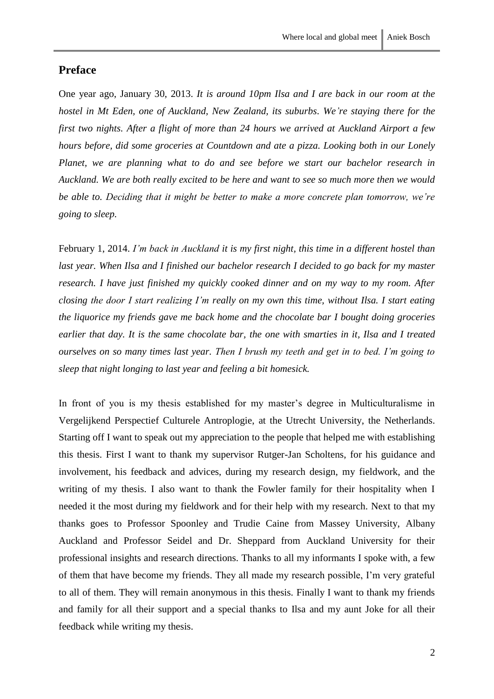# <span id="page-3-0"></span>**Preface**

One year ago, January 30, 2013. *It is around 10pm Ilsa and I are back in our room at the hostel in Mt Eden, one of Auckland, New Zealand, its suburbs. We're staying there for the first two nights. After a flight of more than 24 hours we arrived at Auckland Airport a few hours before, did some groceries at Countdown and ate a pizza. Looking both in our Lonely Planet, we are planning what to do and see before we start our bachelor research in Auckland. We are both really excited to be here and want to see so much more then we would be able to. Deciding that it might be better to make a more concrete plan tomorrow, we're going to sleep.* 

February 1, 2014. *I'm back in Auckland it is my first night, this time in a different hostel than last year. When Ilsa and I finished our bachelor research I decided to go back for my master research. I have just finished my quickly cooked dinner and on my way to my room. After closing the door I start realizing I'm really on my own this time, without Ilsa. I start eating the liquorice my friends gave me back home and the chocolate bar I bought doing groceries earlier that day. It is the same chocolate bar, the one with smarties in it, Ilsa and I treated ourselves on so many times last year. Then I brush my teeth and get in to bed. I'm going to sleep that night longing to last year and feeling a bit homesick.*

In front of you is my thesis established for my master's degree in Multiculturalisme in Vergelijkend Perspectief Culturele Antroplogie, at the Utrecht University, the Netherlands. Starting off I want to speak out my appreciation to the people that helped me with establishing this thesis. First I want to thank my supervisor Rutger-Jan Scholtens, for his guidance and involvement, his feedback and advices, during my research design, my fieldwork, and the writing of my thesis. I also want to thank the Fowler family for their hospitality when I needed it the most during my fieldwork and for their help with my research. Next to that my thanks goes to Professor Spoonley and Trudie Caine from Massey University, Albany Auckland and Professor Seidel and Dr. Sheppard from Auckland University for their professional insights and research directions. Thanks to all my informants I spoke with, a few of them that have become my friends. They all made my research possible, I'm very grateful to all of them. They will remain anonymous in this thesis. Finally I want to thank my friends and family for all their support and a special thanks to Ilsa and my aunt Joke for all their feedback while writing my thesis.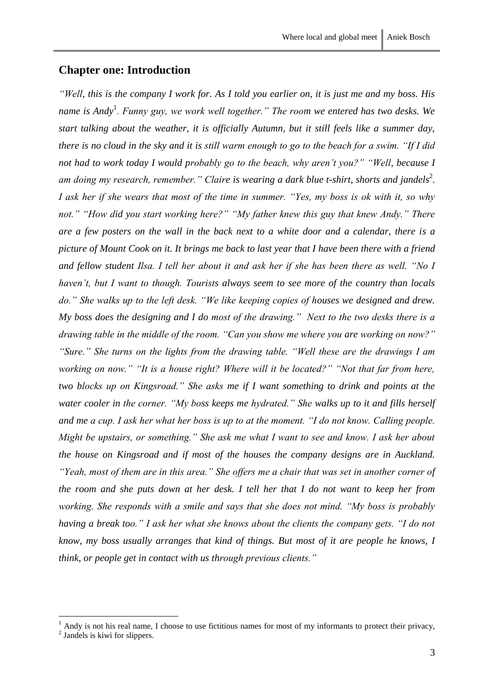# <span id="page-4-0"></span>**Chapter one: Introduction**

*"Well, this is the company I work for. As I told you earlier on, it is just me and my boss. His name is Andy*<sup>1</sup> *. Funny guy, we work well together." The room we entered has two desks. We start talking about the weather, it is officially Autumn, but it still feels like a summer day, there is no cloud in the sky and it is still warm enough to go to the beach for a swim. "If I did not had to work today I would probably go to the beach, why aren't you?" "Well, because I*  am doing my research, remember." Claire is wearing a dark blue t-shirt, shorts and jandels<sup>2</sup>. *I ask her if she wears that most of the time in summer. "Yes, my boss is ok with it, so why not." "How did you start working here?" "My father knew this guy that knew Andy." There are a few posters on the wall in the back next to a white door and a calendar, there is a picture of Mount Cook on it. It brings me back to last year that I have been there with a friend and fellow student Ilsa. I tell her about it and ask her if she has been there as well. "No I haven't, but I want to though. Tourists always seem to see more of the country than locals do." She walks up to the left desk. "We like keeping copies of houses we designed and drew. My boss does the designing and I do most of the drawing." Next to the two desks there is a drawing table in the middle of the room. "Can you show me where you are working on now?" "Sure." She turns on the lights from the drawing table. "Well these are the drawings I am working on now." "It is a house right? Where will it be located?" "Not that far from here, two blocks up on Kingsroad." She asks me if I want something to drink and points at the water cooler in the corner. "My boss keeps me hydrated." She walks up to it and fills herself and me a cup. I ask her what her boss is up to at the moment. "I do not know. Calling people. Might be upstairs, or something." She ask me what I want to see and know. I ask her about the house on Kingsroad and if most of the houses the company designs are in Auckland. "Yeah, most of them are in this area." She offers me a chair that was set in another corner of the room and she puts down at her desk. I tell her that I do not want to keep her from working. She responds with a smile and says that she does not mind. "My boss is probably having a break too." I ask her what she knows about the clients the company gets. "I do not know, my boss usually arranges that kind of things. But most of it are people he knows, I think, or people get in contact with us through previous clients."*

<u>.</u>

<sup>1</sup> Andy is not his real name, I choose to use fictitious names for most of my informants to protect their privacy,

<sup>&</sup>lt;sup>2</sup> Jandels is kiwi for slippers.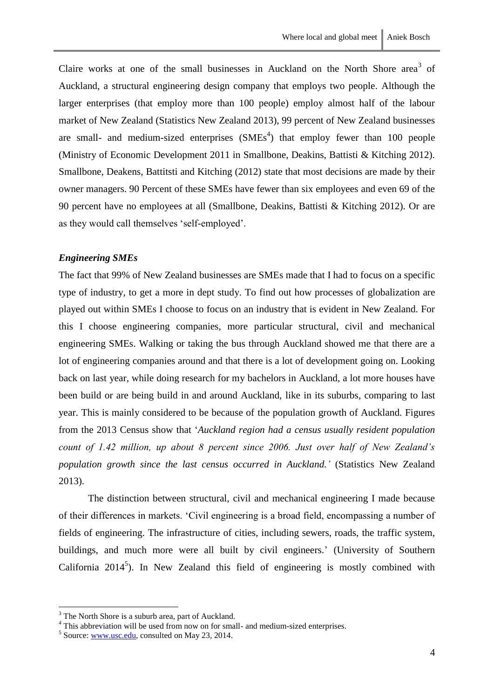Claire works at one of the small businesses in Auckland on the North Shore area<sup>3</sup> of Auckland, a structural engineering design company that employs two people. Although the larger enterprises (that employ more than 100 people) employ almost half of the labour market of New Zealand (Statistics New Zealand 2013), 99 percent of New Zealand businesses are small- and medium-sized enterprises  $(SMEs<sup>4</sup>)$  that employ fewer than 100 people (Ministry of Economic Development 2011 in Smallbone, Deakins, Battisti & Kitching 2012). Smallbone, Deakens, Battitsti and Kitching (2012) state that most decisions are made by their owner managers. 90 Percent of these SMEs have fewer than six employees and even 69 of the 90 percent have no employees at all (Smallbone, Deakins, Battisti & Kitching 2012). Or are as they would call themselves 'self-employed'.

#### <span id="page-5-0"></span>*Engineering SMEs*

The fact that 99% of New Zealand businesses are SMEs made that I had to focus on a specific type of industry, to get a more in dept study. To find out how processes of globalization are played out within SMEs I choose to focus on an industry that is evident in New Zealand. For this I choose engineering companies, more particular structural, civil and mechanical engineering SMEs. Walking or taking the bus through Auckland showed me that there are a lot of engineering companies around and that there is a lot of development going on. Looking back on last year, while doing research for my bachelors in Auckland, a lot more houses have been build or are being build in and around Auckland, like in its suburbs, comparing to last year. This is mainly considered to be because of the population growth of Auckland. Figures from the 2013 Census show that '*Auckland region had a census usually resident population count of 1.42 million, up about 8 percent since 2006. Just over half of New Zealand's population growth since the last census occurred in Auckland.'* (Statistics New Zealand 2013).

The distinction between structural, civil and mechanical engineering I made because of their differences in markets. 'Civil engineering is a broad field, encompassing a number of fields of engineering. The infrastructure of cities, including sewers, roads, the traffic system, buildings, and much more were all built by civil engineers.' (University of Southern California  $2014<sup>5</sup>$ ). In New Zealand this field of engineering is mostly combined with

<sup>&</sup>lt;sup>3</sup> The North Shore is a suburb area, part of Auckland.

<sup>&</sup>lt;sup>4</sup> This abbreviation will be used from now on for small- and medium-sized enterprises.

 $<sup>5</sup>$  Source[: www.usc.edu,](http://www.usc.edu/) consulted on May 23, 2014.</sup>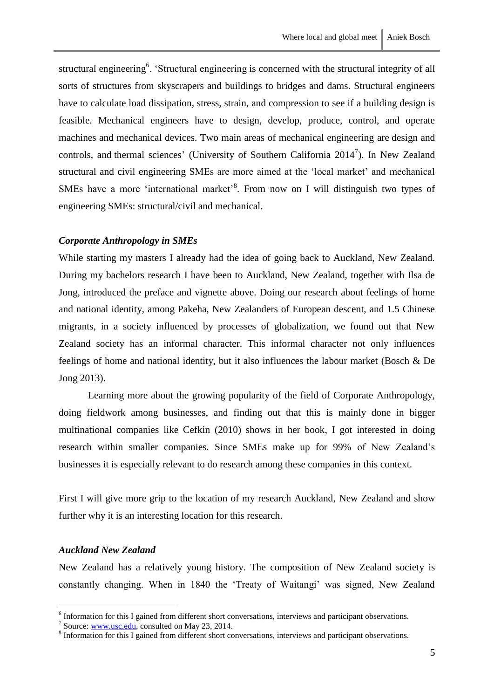structural engineering<sup>6</sup>. 'Structural engineering is concerned with the structural integrity of all sorts of structures from skyscrapers and buildings to bridges and dams. Structural engineers have to calculate load dissipation, stress, strain, and compression to see if a building design is feasible. Mechanical engineers have to design, develop, produce, control, and operate machines and mechanical devices. Two main areas of mechanical engineering are design and controls, and thermal sciences' (University of Southern California  $2014^7$ ). In New Zealand structural and civil engineering SMEs are more aimed at the 'local market' and mechanical SMEs have a more 'international market'<sup>8</sup>. From now on I will distinguish two types of engineering SMEs: structural/civil and mechanical.

## <span id="page-6-0"></span>*Corporate Anthropology in SMEs*

While starting my masters I already had the idea of going back to Auckland, New Zealand. During my bachelors research I have been to Auckland, New Zealand, together with Ilsa de Jong, introduced the preface and vignette above. Doing our research about feelings of home and national identity, among Pakeha, New Zealanders of European descent, and 1.5 Chinese migrants, in a society influenced by processes of globalization, we found out that New Zealand society has an informal character. This informal character not only influences feelings of home and national identity, but it also influences the labour market (Bosch & De Jong 2013).

Learning more about the growing popularity of the field of Corporate Anthropology, doing fieldwork among businesses, and finding out that this is mainly done in bigger multinational companies like Cefkin (2010) shows in her book, I got interested in doing research within smaller companies. Since SMEs make up for 99% of New Zealand's businesses it is especially relevant to do research among these companies in this context.

First I will give more grip to the location of my research Auckland, New Zealand and show further why it is an interesting location for this research.

#### <span id="page-6-1"></span>*Auckland New Zealand*

1

New Zealand has a relatively young history. The composition of New Zealand society is constantly changing. When in 1840 the 'Treaty of Waitangi' was signed, New Zealand

<sup>&</sup>lt;sup>6</sup> Information for this I gained from different short conversations, interviews and participant observations.

<sup>&</sup>lt;sup>7</sup> Source: <u>www.usc.edu</u>, consulted on May 23, 2014.

<sup>&</sup>lt;sup>8</sup> Information for this I gained from different short conversations, interviews and participant observations.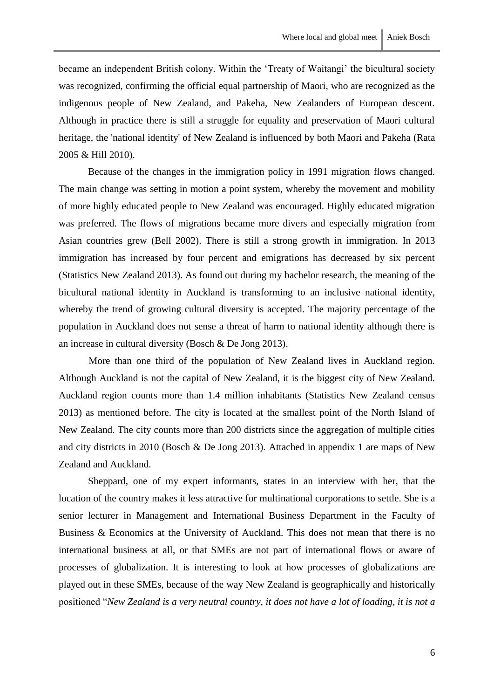became an independent British colony. Within the 'Treaty of Waitangi' the bicultural society was recognized, confirming the official equal partnership of Maori, who are recognized as the indigenous people of New Zealand, and Pakeha, New Zealanders of European descent. Although in practice there is still a struggle for equality and preservation of Maori cultural heritage, the 'national identity' of New Zealand is influenced by both Maori and Pakeha (Rata 2005 & Hill 2010).

Because of the changes in the immigration policy in 1991 migration flows changed. The main change was setting in motion a point system, whereby the movement and mobility of more highly educated people to New Zealand was encouraged. Highly educated migration was preferred. The flows of migrations became more divers and especially migration from Asian countries grew (Bell 2002). There is still a strong growth in immigration. In 2013 immigration has increased by four percent and emigrations has decreased by six percent (Statistics New Zealand 2013). As found out during my bachelor research, the meaning of the bicultural national identity in Auckland is transforming to an inclusive national identity, whereby the trend of growing cultural diversity is accepted. The majority percentage of the population in Auckland does not sense a threat of harm to national identity although there is an increase in cultural diversity (Bosch & De Jong 2013).

More than one third of the population of New Zealand lives in Auckland region. Although Auckland is not the capital of New Zealand, it is the biggest city of New Zealand. Auckland region counts more than 1.4 million inhabitants (Statistics New Zealand census 2013) as mentioned before. The city is located at the smallest point of the North Island of New Zealand. The city counts more than 200 districts since the aggregation of multiple cities and city districts in 2010 (Bosch & De Jong 2013). Attached in appendix 1 are maps of New Zealand and Auckland.

Sheppard, one of my expert informants, states in an interview with her, that the location of the country makes it less attractive for multinational corporations to settle. She is a senior lecturer in Management and International Business Department in the Faculty of Business & Economics at the University of Auckland. This does not mean that there is no international business at all, or that SMEs are not part of international flows or aware of processes of globalization. It is interesting to look at how processes of globalizations are played out in these SMEs, because of the way New Zealand is geographically and historically positioned "*New Zealand is a very neutral country, it does not have a lot of loading, it is not a*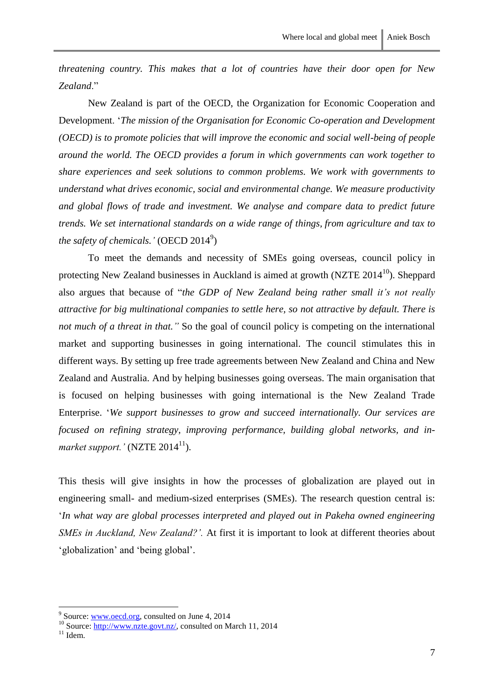*threatening country. This makes that a lot of countries have their door open for New Zealand*."

New Zealand is part of the OECD, the Organization for Economic Cooperation and Development. '*The mission of the Organisation for Economic Co-operation and Development (OECD) is to promote policies that will improve the economic and social well-being of people around the world. The OECD provides a forum in which governments can work together to share experiences and seek solutions to common problems. We work with governments to understand what drives economic, social and environmental change. We measure productivity and global flows of trade and investment. We analyse and compare data to predict future trends. We set international standards on a wide range of things, from agriculture and tax to*  the safety of chemicals.' (OECD 2014<sup>9</sup>)

To meet the demands and necessity of SMEs going overseas, council policy in protecting New Zealand businesses in Auckland is aimed at growth (NZTE  $2014<sup>10</sup>$ ). Sheppard also argues that because of "*the GDP of New Zealand being rather small it's not really attractive for big multinational companies to settle here, so not attractive by default. There is not much of a threat in that.*" So the goal of council policy is competing on the international market and supporting businesses in going international. The council stimulates this in different ways. By setting up free trade agreements between New Zealand and China and New Zealand and Australia. And by helping businesses going overseas. The main organisation that is focused on helping businesses with going international is the New Zealand Trade Enterprise. '*We support businesses to grow and succeed internationally. Our services are focused on refining strategy, improving performance, building global networks, and inmarket support.'* (NZTE  $2014^{11}$ ).

This thesis will give insights in how the processes of globalization are played out in engineering small- and medium-sized enterprises (SMEs). The research question central is: '*In what way are global processes interpreted and played out in Pakeha owned engineering SMEs in Auckland, New Zealand?'.* At first it is important to look at different theories about 'globalization' and 'being global'.

<sup>9&</sup>lt;br>
Source[: www.oecd.org,](http://www.oecd.org/) consulted on June 4, 2014

<sup>&</sup>lt;sup>10</sup> Source: [http://www.nzte.govt.nz/,](http://www.nzte.govt.nz/) consulted on March 11, 2014

 $11$  Idem.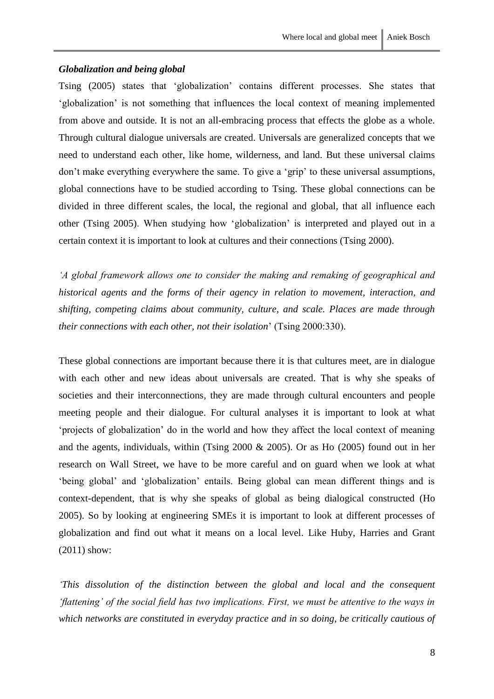#### <span id="page-9-0"></span>*Globalization and being global*

Tsing (2005) states that 'globalization' contains different processes. She states that 'globalization' is not something that influences the local context of meaning implemented from above and outside. It is not an all-embracing process that effects the globe as a whole. Through cultural dialogue universals are created. Universals are generalized concepts that we need to understand each other, like home, wilderness, and land. But these universal claims don't make everything everywhere the same. To give a 'grip' to these universal assumptions, global connections have to be studied according to Tsing. These global connections can be divided in three different scales, the local, the regional and global, that all influence each other (Tsing 2005). When studying how 'globalization' is interpreted and played out in a certain context it is important to look at cultures and their connections (Tsing 2000).

*'A global framework allows one to consider the making and remaking of geographical and historical agents and the forms of their agency in relation to movement, interaction, and shifting, competing claims about community, culture, and scale. Places are made through their connections with each other, not their isolation*' (Tsing 2000:330).

These global connections are important because there it is that cultures meet, are in dialogue with each other and new ideas about universals are created. That is why she speaks of societies and their interconnections, they are made through cultural encounters and people meeting people and their dialogue. For cultural analyses it is important to look at what 'projects of globalization' do in the world and how they affect the local context of meaning and the agents, individuals, within (Tsing 2000 & 2005). Or as Ho (2005) found out in her research on Wall Street, we have to be more careful and on guard when we look at what 'being global' and 'globalization' entails. Being global can mean different things and is context-dependent, that is why she speaks of global as being dialogical constructed (Ho 2005). So by looking at engineering SMEs it is important to look at different processes of globalization and find out what it means on a local level. Like Huby, Harries and Grant (2011) show:

*'This dissolution of the distinction between the global and local and the consequent 'flattening' of the social field has two implications. First, we must be attentive to the ways in which networks are constituted in everyday practice and in so doing, be critically cautious of*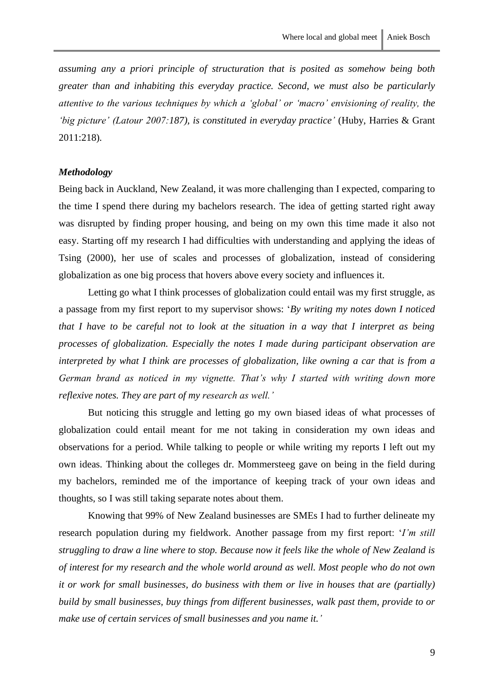*assuming any a priori principle of structuration that is posited as somehow being both greater than and inhabiting this everyday practice. Second, we must also be particularly attentive to the various techniques by which a 'global' or 'macro' envisioning of reality, the 'big picture' (Latour 2007:187), is constituted in everyday practice' (Huby, Harries & Grant* 2011:218)*.*

#### <span id="page-10-0"></span>*Methodology*

Being back in Auckland, New Zealand, it was more challenging than I expected, comparing to the time I spend there during my bachelors research. The idea of getting started right away was disrupted by finding proper housing, and being on my own this time made it also not easy. Starting off my research I had difficulties with understanding and applying the ideas of Tsing (2000), her use of scales and processes of globalization, instead of considering globalization as one big process that hovers above every society and influences it.

Letting go what I think processes of globalization could entail was my first struggle, as a passage from my first report to my supervisor shows: '*By writing my notes down I noticed that I have to be careful not to look at the situation in a way that I interpret as being processes of globalization. Especially the notes I made during participant observation are interpreted by what I think are processes of globalization, like owning a car that is from a German brand as noticed in my vignette. That's why I started with writing down more reflexive notes. They are part of my research as well.'* 

But noticing this struggle and letting go my own biased ideas of what processes of globalization could entail meant for me not taking in consideration my own ideas and observations for a period. While talking to people or while writing my reports I left out my own ideas. Thinking about the colleges dr. Mommersteeg gave on being in the field during my bachelors, reminded me of the importance of keeping track of your own ideas and thoughts, so I was still taking separate notes about them.

Knowing that 99% of New Zealand businesses are SMEs I had to further delineate my research population during my fieldwork. Another passage from my first report: '*I'm still struggling to draw a line where to stop. Because now it feels like the whole of New Zealand is of interest for my research and the whole world around as well. Most people who do not own it or work for small businesses, do business with them or live in houses that are (partially) build by small businesses, buy things from different businesses, walk past them, provide to or make use of certain services of small businesses and you name it.'*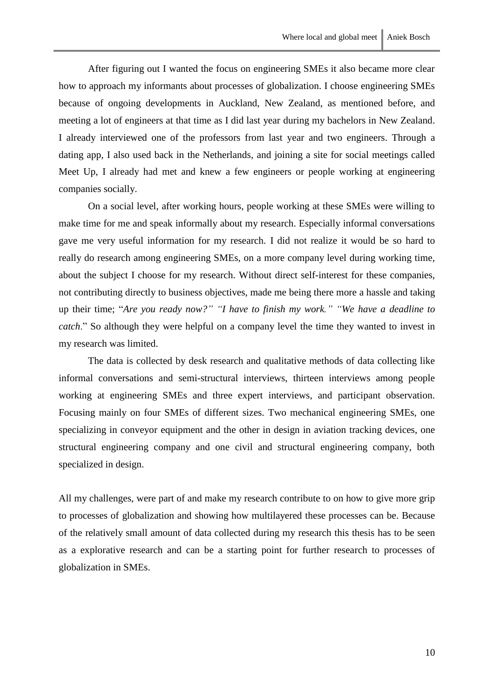After figuring out I wanted the focus on engineering SMEs it also became more clear how to approach my informants about processes of globalization. I choose engineering SMEs because of ongoing developments in Auckland, New Zealand, as mentioned before, and meeting a lot of engineers at that time as I did last year during my bachelors in New Zealand. I already interviewed one of the professors from last year and two engineers. Through a dating app, I also used back in the Netherlands, and joining a site for social meetings called Meet Up, I already had met and knew a few engineers or people working at engineering companies socially.

On a social level, after working hours, people working at these SMEs were willing to make time for me and speak informally about my research. Especially informal conversations gave me very useful information for my research. I did not realize it would be so hard to really do research among engineering SMEs, on a more company level during working time, about the subject I choose for my research. Without direct self-interest for these companies, not contributing directly to business objectives, made me being there more a hassle and taking up their time; "*Are you ready now?" "I have to finish my work." "We have a deadline to catch*." So although they were helpful on a company level the time they wanted to invest in my research was limited.

The data is collected by desk research and qualitative methods of data collecting like informal conversations and semi-structural interviews, thirteen interviews among people working at engineering SMEs and three expert interviews, and participant observation. Focusing mainly on four SMEs of different sizes. Two mechanical engineering SMEs, one specializing in conveyor equipment and the other in design in aviation tracking devices, one structural engineering company and one civil and structural engineering company, both specialized in design.

All my challenges, were part of and make my research contribute to on how to give more grip to processes of globalization and showing how multilayered these processes can be. Because of the relatively small amount of data collected during my research this thesis has to be seen as a explorative research and can be a starting point for further research to processes of globalization in SMEs.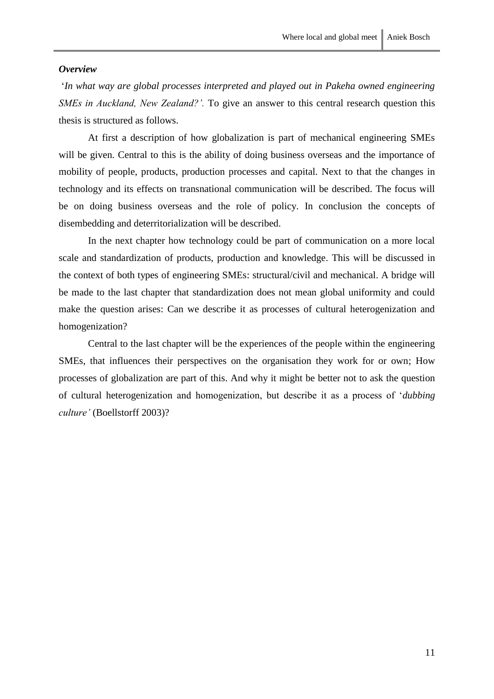#### <span id="page-12-0"></span>*Overview*

'*In what way are global processes interpreted and played out in Pakeha owned engineering SMEs in Auckland, New Zealand?'.* To give an answer to this central research question this thesis is structured as follows.

At first a description of how globalization is part of mechanical engineering SMEs will be given. Central to this is the ability of doing business overseas and the importance of mobility of people, products, production processes and capital. Next to that the changes in technology and its effects on transnational communication will be described. The focus will be on doing business overseas and the role of policy. In conclusion the concepts of disembedding and deterritorialization will be described.

In the next chapter how technology could be part of communication on a more local scale and standardization of products, production and knowledge. This will be discussed in the context of both types of engineering SMEs: structural/civil and mechanical. A bridge will be made to the last chapter that standardization does not mean global uniformity and could make the question arises: Can we describe it as processes of cultural heterogenization and homogenization?

Central to the last chapter will be the experiences of the people within the engineering SMEs, that influences their perspectives on the organisation they work for or own; How processes of globalization are part of this. And why it might be better not to ask the question of cultural heterogenization and homogenization, but describe it as a process of '*dubbing culture'* (Boellstorff 2003)?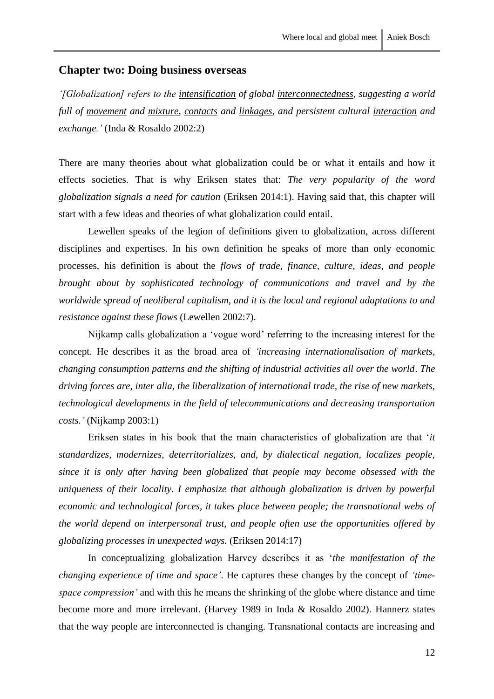# <span id="page-13-0"></span>**Chapter two: Doing business overseas**

*'[Globalization] refers to the intensification of global interconnectedness, suggesting a world full of movement and mixture, contacts and linkages, and persistent cultural interaction and exchange.'* (Inda & Rosaldo 2002:2)

There are many theories about what globalization could be or what it entails and how it effects societies. That is why Eriksen states that: *The very popularity of the word globalization signals a need for caution* (Eriksen 2014:1). Having said that, this chapter will start with a few ideas and theories of what globalization could entail.

Lewellen speaks of the legion of definitions given to globalization, across different disciplines and expertises. In his own definition he speaks of more than only economic processes, his definition is about the *flows of trade, finance, culture, ideas, and people brought about by sophisticated technology of communications and travel and by the worldwide spread of neoliberal capitalism, and it is the local and regional adaptations to and resistance against these flows* (Lewellen 2002:7).

Nijkamp calls globalization a 'vogue word' referring to the increasing interest for the concept. He describes it as the broad area of *'increasing internationalisation of markets, changing consumption patterns and the shifting of industrial activities all over the world*. *The driving forces are, inter alia, the liberalization of international trade, the rise of new markets, technological developments in the field of telecommunications and decreasing transportation costs.'* (Nijkamp 2003:1)

Eriksen states in his book that the main characteristics of globalization are that '*it standardizes, modernizes, deterritorializes, and, by dialectical negation, localizes people, since it is only after having been globalized that people may become obsessed with the uniqueness of their locality. I emphasize that although globalization is driven by powerful economic and technological forces, it takes place between people; the transnational webs of the world depend on interpersonal trust, and people often use the opportunities offered by globalizing processes in unexpected ways.* (Eriksen 2014:17)

In conceptualizing globalization Harvey describes it as '*the manifestation of the changing experience of time and space'*. He captures these changes by the concept of *'timespace compression'* and with this he means the shrinking of the globe where distance and time become more and more irrelevant. (Harvey 1989 in Inda & Rosaldo 2002). Hannerz states that the way people are interconnected is changing. Transnational contacts are increasing and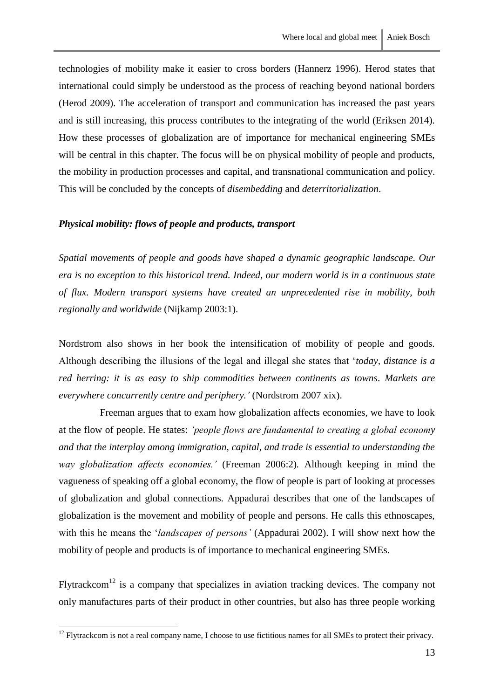technologies of mobility make it easier to cross borders (Hannerz 1996). Herod states that international could simply be understood as the process of reaching beyond national borders (Herod 2009). The acceleration of transport and communication has increased the past years and is still increasing, this process contributes to the integrating of the world (Eriksen 2014). How these processes of globalization are of importance for mechanical engineering SMEs will be central in this chapter. The focus will be on physical mobility of people and products, the mobility in production processes and capital, and transnational communication and policy. This will be concluded by the concepts of *disembedding* and *deterritorialization*.

## <span id="page-14-0"></span>*Physical mobility: flows of people and products, transport*

*Spatial movements of people and goods have shaped a dynamic geographic landscape. Our era is no exception to this historical trend. Indeed, our modern world is in a continuous state of flux. Modern transport systems have created an unprecedented rise in mobility, both regionally and worldwide* (Nijkamp 2003:1).

Nordstrom also shows in her book the intensification of mobility of people and goods. Although describing the illusions of the legal and illegal she states that '*today, distance is a red herring: it is as easy to ship commodities between continents as towns. Markets are everywhere concurrently centre and periphery.'* (Nordstrom 2007 xix).

Freeman argues that to exam how globalization affects economies, we have to look at the flow of people. He states: *'people flows are fundamental to creating a global economy and that the interplay among immigration, capital, and trade is essential to understanding the way globalization affects economies.'* (Freeman 2006:2)*.* Although keeping in mind the vagueness of speaking off a global economy, the flow of people is part of looking at processes of globalization and global connections. Appadurai describes that one of the landscapes of globalization is the movement and mobility of people and persons. He calls this ethnoscapes, with this he means the '*landscapes of persons'* (Appadurai 2002). I will show next how the mobility of people and products is of importance to mechanical engineering SMEs.

Flytrackcom<sup>12</sup> is a company that specializes in aviation tracking devices. The company not only manufactures parts of their product in other countries, but also has three people working

 $12$  Flytrackcom is not a real company name. I choose to use fictitious names for all SMEs to protect their privacy.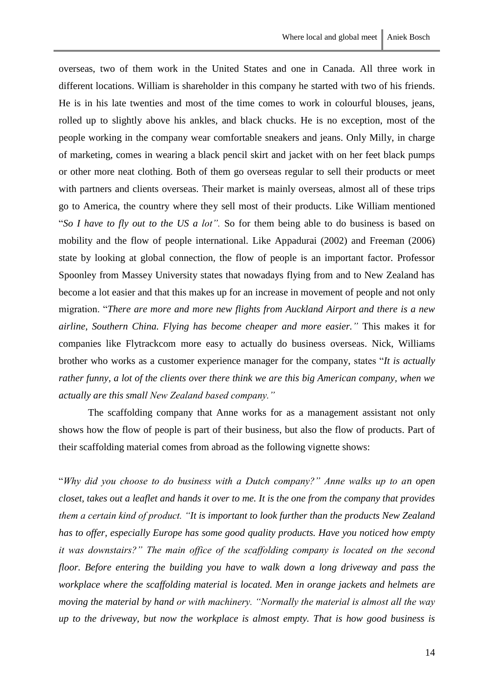overseas, two of them work in the United States and one in Canada. All three work in different locations. William is shareholder in this company he started with two of his friends. He is in his late twenties and most of the time comes to work in colourful blouses, jeans, rolled up to slightly above his ankles, and black chucks. He is no exception, most of the people working in the company wear comfortable sneakers and jeans. Only Milly, in charge of marketing, comes in wearing a black pencil skirt and jacket with on her feet black pumps or other more neat clothing. Both of them go overseas regular to sell their products or meet with partners and clients overseas. Their market is mainly overseas, almost all of these trips go to America, the country where they sell most of their products. Like William mentioned "*So I have to fly out to the US a lot".* So for them being able to do business is based on mobility and the flow of people international. Like Appadurai (2002) and Freeman (2006) state by looking at global connection, the flow of people is an important factor. Professor Spoonley from Massey University states that nowadays flying from and to New Zealand has become a lot easier and that this makes up for an increase in movement of people and not only migration. "*There are more and more new flights from Auckland Airport and there is a new airline, Southern China. Flying has become cheaper and more easier."* This makes it for companies like Flytrackcom more easy to actually do business overseas. Nick, Williams brother who works as a customer experience manager for the company, states "*It is actually rather funny, a lot of the clients over there think we are this big American company, when we actually are this small New Zealand based company."*

The scaffolding company that Anne works for as a management assistant not only shows how the flow of people is part of their business, but also the flow of products. Part of their scaffolding material comes from abroad as the following vignette shows:

"*Why did you choose to do business with a Dutch company?" Anne walks up to an open closet, takes out a leaflet and hands it over to me. It is the one from the company that provides them a certain kind of product. "It is important to look further than the products New Zealand has to offer, especially Europe has some good quality products. Have you noticed how empty it was downstairs?" The main office of the scaffolding company is located on the second floor. Before entering the building you have to walk down a long driveway and pass the workplace where the scaffolding material is located. Men in orange jackets and helmets are moving the material by hand or with machinery. "Normally the material is almost all the way up to the driveway, but now the workplace is almost empty. That is how good business is*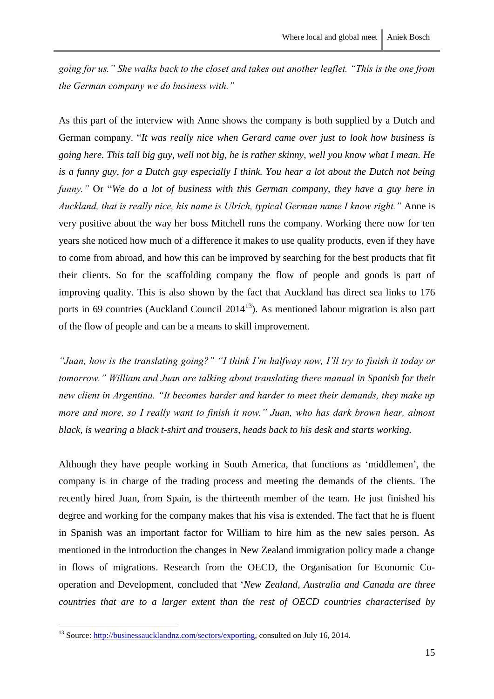*going for us." She walks back to the closet and takes out another leaflet. "This is the one from the German company we do business with."*

As this part of the interview with Anne shows the company is both supplied by a Dutch and German company. "*It was really nice when Gerard came over just to look how business is going here. This tall big guy, well not big, he is rather skinny, well you know what I mean. He is a funny guy, for a Dutch guy especially I think. You hear a lot about the Dutch not being funny."* Or "*We do a lot of business with this German company, they have a guy here in Auckland, that is really nice, his name is Ulrich, typical German name I know right."* Anne is very positive about the way her boss Mitchell runs the company. Working there now for ten years she noticed how much of a difference it makes to use quality products, even if they have to come from abroad, and how this can be improved by searching for the best products that fit their clients. So for the scaffolding company the flow of people and goods is part of improving quality. This is also shown by the fact that Auckland has direct sea links to 176 ports in 69 countries (Auckland Council  $2014<sup>13</sup>$ ). As mentioned labour migration is also part of the flow of people and can be a means to skill improvement.

*"Juan, how is the translating going?" "I think I'm halfway now, I'll try to finish it today or tomorrow." William and Juan are talking about translating there manual in Spanish for their new client in Argentina. "It becomes harder and harder to meet their demands, they make up more and more, so I really want to finish it now." Juan, who has dark brown hear, almost black, is wearing a black t-shirt and trousers, heads back to his desk and starts working.*

Although they have people working in South America, that functions as 'middlemen', the company is in charge of the trading process and meeting the demands of the clients. The recently hired Juan, from Spain, is the thirteenth member of the team. He just finished his degree and working for the company makes that his visa is extended. The fact that he is fluent in Spanish was an important factor for William to hire him as the new sales person. As mentioned in the introduction the changes in New Zealand immigration policy made a change in flows of migrations. Research from the OECD, the Organisation for Economic Cooperation and Development, concluded that '*New Zealand, Australia and Canada are three countries that are to a larger extent than the rest of OECD countries characterised by* 

<sup>&</sup>lt;sup>13</sup> Source: [http://businessaucklandnz.com/sectors/exporting,](http://businessaucklandnz.com/sectors/exporting) consulted on July 16, 2014.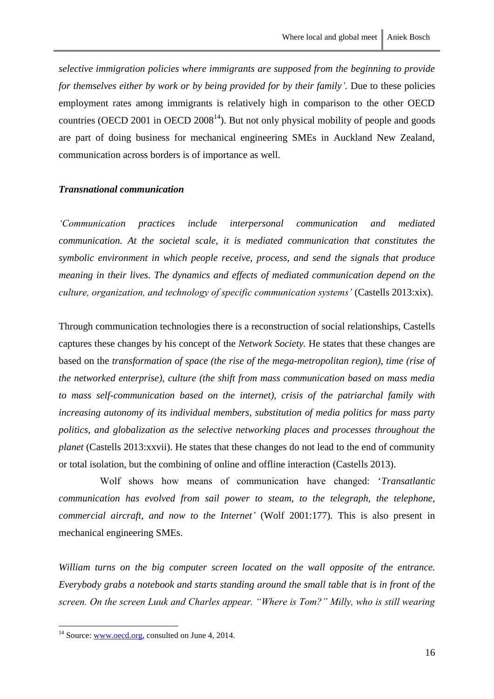*selective immigration policies where immigrants are supposed from the beginning to provide for themselves either by work or by being provided for by their family'.* Due to these policies employment rates among immigrants is relatively high in comparison to the other OECD countries (OECD 2001 in [OECD 2008](http://www.sciencedirect.com/science/article/pii/S001429210700164X#bib24) $^{14}$ ). But not only physical mobility of people and goods are part of doing business for mechanical engineering SMEs in Auckland New Zealand, communication across borders is of importance as well.

#### <span id="page-17-0"></span>*Transnational communication*

*'Communication practices include interpersonal communication and mediated communication. At the societal scale, it is mediated communication that constitutes the symbolic environment in which people receive, process, and send the signals that produce meaning in their lives. The dynamics and effects of mediated communication depend on the culture, organization, and technology of specific communication systems'* (Castells 2013:xix).

Through communication technologies there is a reconstruction of social relationships, Castells captures these changes by his concept of the *Network Society.* He states that these changes are based on the *transformation of space (the rise of the mega-metropolitan region), time (rise of the networked enterprise), culture (the shift from mass communication based on mass media to mass self-communication based on the internet), crisis of the patriarchal family with increasing autonomy of its individual members, substitution of media politics for mass party politics, and globalization as the selective networking places and processes throughout the planet* (Castells 2013:xxvii). He states that these changes do not lead to the end of community or total isolation, but the combining of online and offline interaction (Castells 2013).

Wolf shows how means of communication have changed: '*Transatlantic communication has evolved from sail power to steam, to the telegraph, the telephone, commercial aircraft, and now to the Internet'* (Wolf 2001:177)*.* This is also present in mechanical engineering SMEs.

*William turns on the big computer screen located on the wall opposite of the entrance. Everybody grabs a notebook and starts standing around the small table that is in front of the screen. On the screen Luuk and Charles appear. "Where is Tom?" Milly, who is still wearing* 

 $14$  Source: [www.oecd.org,](http://www.oecd.org/) consulted on June 4, 2014.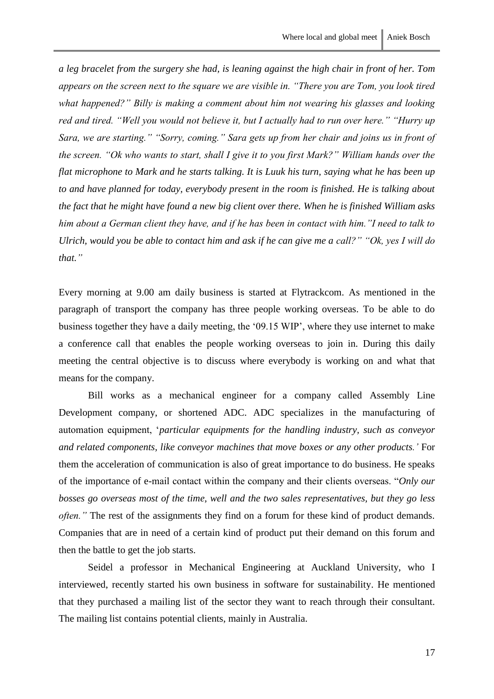*a leg bracelet from the surgery she had, is leaning against the high chair in front of her. Tom appears on the screen next to the square we are visible in. "There you are Tom, you look tired what happened?" Billy is making a comment about him not wearing his glasses and looking red and tired. "Well you would not believe it, but I actually had to run over here." "Hurry up Sara, we are starting." "Sorry, coming." Sara gets up from her chair and joins us in front of the screen. "Ok who wants to start, shall I give it to you first Mark?" William hands over the flat microphone to Mark and he starts talking. It is Luuk his turn, saying what he has been up to and have planned for today, everybody present in the room is finished. He is talking about the fact that he might have found a new big client over there. When he is finished William asks him about a German client they have, and if he has been in contact with him."I need to talk to Ulrich, would you be able to contact him and ask if he can give me a call?" "Ok, yes I will do that."*

Every morning at 9.00 am daily business is started at Flytrackcom. As mentioned in the paragraph of transport the company has three people working overseas. To be able to do business together they have a daily meeting, the '09.15 WIP', where they use internet to make a conference call that enables the people working overseas to join in. During this daily meeting the central objective is to discuss where everybody is working on and what that means for the company.

Bill works as a mechanical engineer for a company called Assembly Line Development company, or shortened ADC. ADC specializes in the manufacturing of automation equipment, '*particular equipments for the handling industry, such as conveyor and related components, like conveyor machines that move boxes or any other products.'* For them the acceleration of communication is also of great importance to do business. He speaks of the importance of e-mail contact within the company and their clients overseas. "*Only our bosses go overseas most of the time, well and the two sales representatives, but they go less often.*" The rest of the assignments they find on a forum for these kind of product demands. Companies that are in need of a certain kind of product put their demand on this forum and then the battle to get the job starts.

Seidel a professor in Mechanical Engineering at Auckland University, who I interviewed, recently started his own business in software for sustainability. He mentioned that they purchased a mailing list of the sector they want to reach through their consultant. The mailing list contains potential clients, mainly in Australia.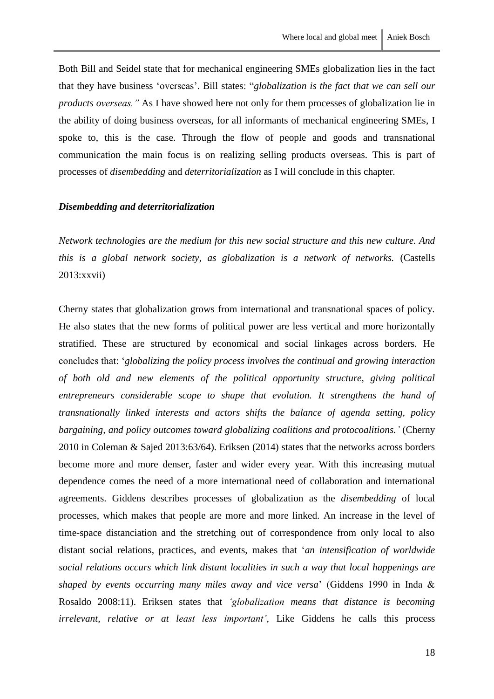Both Bill and Seidel state that for mechanical engineering SMEs globalization lies in the fact that they have business 'overseas'. Bill states: "*globalization is the fact that we can sell our products overseas."* As I have showed here not only for them processes of globalization lie in the ability of doing business overseas, for all informants of mechanical engineering SMEs, I spoke to, this is the case. Through the flow of people and goods and transnational communication the main focus is on realizing selling products overseas. This is part of processes of *disembedding* and *deterritorialization* as I will conclude in this chapter*.* 

#### <span id="page-19-0"></span>*Disembedding and deterritorialization*

*Network technologies are the medium for this new social structure and this new culture. And this is a global network society, as globalization is a network of networks.* (Castells 2013:xxvii)

Cherny states that globalization grows from international and transnational spaces of policy. He also states that the new forms of political power are less vertical and more horizontally stratified. These are structured by economical and social linkages across borders. He concludes that: '*globalizing the policy process involves the continual and growing interaction of both old and new elements of the political opportunity structure, giving political entrepreneurs considerable scope to shape that evolution. It strengthens the hand of transnationally linked interests and actors shifts the balance of agenda setting, policy bargaining, and policy outcomes toward globalizing coalitions and protocoalitions.'* (Cherny 2010 in Coleman & Sajed 2013:63/64). Eriksen (2014) states that the networks across borders become more and more denser, faster and wider every year. With this increasing mutual dependence comes the need of a more international need of collaboration and international agreements. Giddens describes processes of globalization as the *disembedding* of local processes, which makes that people are more and more linked. An increase in the level of time-space distanciation and the stretching out of correspondence from only local to also distant social relations, practices, and events, makes that '*an intensification of worldwide social relations occurs which link distant localities in such a way that local happenings are shaped by events occurring many miles away and vice versa*' (Giddens 1990 in Inda & Rosaldo 2008:11). Eriksen states that *'globalization means that distance is becoming irrelevant, relative or at least less important'*, Like Giddens he calls this process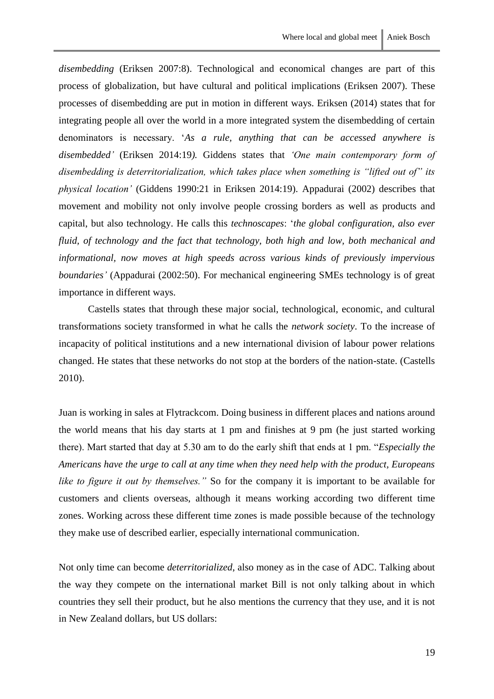*disembedding* (Eriksen 2007:8). Technological and economical changes are part of this process of globalization, but have cultural and political implications (Eriksen 2007). These processes of disembedding are put in motion in different ways. Eriksen (2014) states that for integrating people all over the world in a more integrated system the disembedding of certain denominators is necessary. '*As a rule, anything that can be accessed anywhere is disembedded'* (Eriksen 2014:19*).* Giddens states that *'One main contemporary form of disembedding is deterritorialization, which takes place when something is "lifted out of" its physical location'* (Giddens 1990:21 in Eriksen 2014:19). Appadurai (2002) describes that movement and mobility not only involve people crossing borders as well as products and capital, but also technology. He calls this *technoscapes*: '*the global configuration, also ever fluid, of technology and the fact that technology, both high and low, both mechanical and informational, now moves at high speeds across various kinds of previously impervious boundaries'* (Appadurai (2002:50). For mechanical engineering SMEs technology is of great importance in different ways.

Castells states that through these major social, technological, economic, and cultural transformations society transformed in what he calls the *network society*. To the increase of incapacity of political institutions and a new international division of labour power relations changed. He states that these networks do not stop at the borders of the nation-state. (Castells 2010).

Juan is working in sales at Flytrackcom. Doing business in different places and nations around the world means that his day starts at 1 pm and finishes at 9 pm (he just started working there). Mart started that day at 5.30 am to do the early shift that ends at 1 pm. "*Especially the Americans have the urge to call at any time when they need help with the product, Europeans like to figure it out by themselves."* So for the company it is important to be available for customers and clients overseas, although it means working according two different time zones. Working across these different time zones is made possible because of the technology they make use of described earlier, especially international communication.

Not only time can become *deterritorialized*, also money as in the case of ADC. Talking about the way they compete on the international market Bill is not only talking about in which countries they sell their product, but he also mentions the currency that they use, and it is not in New Zealand dollars, but US dollars: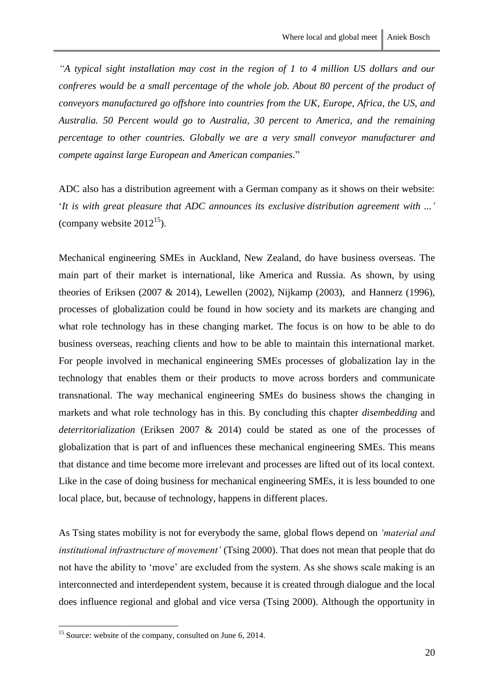*"A typical sight installation may cost in the region of 1 to 4 million US dollars and our confreres would be a small percentage of the whole job. About 80 percent of the product of conveyors manufactured go offshore into countries from the UK, Europe, Africa, the US, and Australia. 50 Percent would go to Australia, 30 percent to America, and the remaining percentage to other countries. Globally we are a very small conveyor manufacturer and compete against large European and American companies.*"

ADC also has a distribution agreement with a German company as it shows on their website: '*It is with great pleasure that ADC announces its exclusive distribution agreement with ...'*  (company website  $2012^{15}$ ).

Mechanical engineering SMEs in Auckland, New Zealand, do have business overseas. The main part of their market is international, like America and Russia. As shown, by using theories of Eriksen (2007 & 2014), Lewellen (2002), Nijkamp (2003), and Hannerz (1996), processes of globalization could be found in how society and its markets are changing and what role technology has in these changing market. The focus is on how to be able to do business overseas, reaching clients and how to be able to maintain this international market. For people involved in mechanical engineering SMEs processes of globalization lay in the technology that enables them or their products to move across borders and communicate transnational. The way mechanical engineering SMEs do business shows the changing in markets and what role technology has in this. By concluding this chapter *disembedding* and *deterritorialization* (Eriksen 2007 & 2014) could be stated as one of the processes of globalization that is part of and influences these mechanical engineering SMEs. This means that distance and time become more irrelevant and processes are lifted out of its local context. Like in the case of doing business for mechanical engineering SMEs, it is less bounded to one local place, but, because of technology, happens in different places.

As Tsing states mobility is not for everybody the same, global flows depend on *'material and institutional infrastructure of movement'* (Tsing 2000). That does not mean that people that do not have the ability to 'move' are excluded from the system. As she shows scale making is an interconnected and interdependent system, because it is created through dialogue and the local does influence regional and global and vice versa (Tsing 2000). Although the opportunity in

 $15$  Source: website of the company, consulted on June 6, 2014.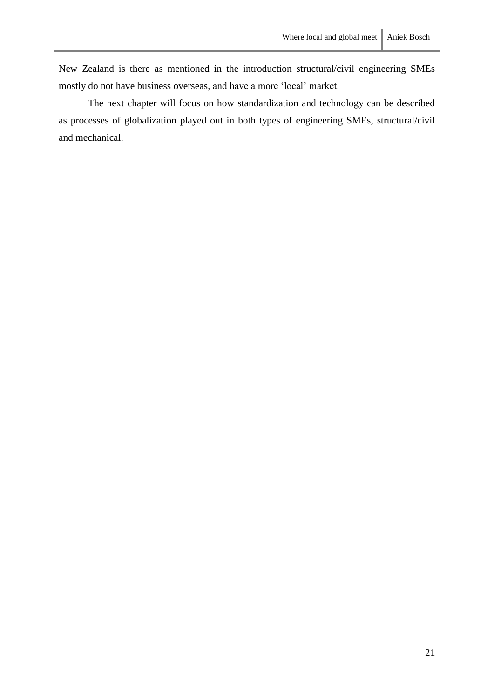New Zealand is there as mentioned in the introduction structural/civil engineering SMEs mostly do not have business overseas, and have a more 'local' market.

The next chapter will focus on how standardization and technology can be described as processes of globalization played out in both types of engineering SMEs, structural/civil and mechanical.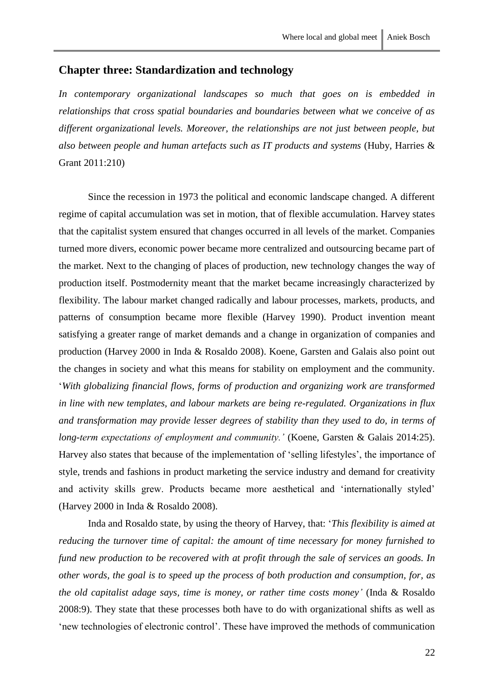# <span id="page-23-0"></span>**Chapter three: Standardization and technology**

*In contemporary organizational landscapes so much that goes on is embedded in relationships that cross spatial boundaries and boundaries between what we conceive of as different organizational levels. Moreover, the relationships are not just between people, but also between people and human artefacts such as IT products and systems* (Huby, Harries & Grant 2011:210)

Since the recession in 1973 the political and economic landscape changed. A different regime of capital accumulation was set in motion, that of flexible accumulation. Harvey states that the capitalist system ensured that changes occurred in all levels of the market. Companies turned more divers, economic power became more centralized and outsourcing became part of the market. Next to the changing of places of production, new technology changes the way of production itself. Postmodernity meant that the market became increasingly characterized by flexibility. The labour market changed radically and labour processes, markets, products, and patterns of consumption became more flexible (Harvey 1990). Product invention meant satisfying a greater range of market demands and a change in organization of companies and production (Harvey 2000 in Inda & Rosaldo 2008). Koene, Garsten and Galais also point out the changes in society and what this means for stability on employment and the community. '*With globalizing financial flows, forms of production and organizing work are transformed in line with new templates, and labour markets are being re-regulated. Organizations in flux and transformation may provide lesser degrees of stability than they used to do, in terms of long-term expectations of employment and community.'* (Koene, Garsten & Galais 2014:25). Harvey also states that because of the implementation of 'selling lifestyles', the importance of style, trends and fashions in product marketing the service industry and demand for creativity and activity skills grew. Products became more aesthetical and 'internationally styled' (Harvey 2000 in Inda & Rosaldo 2008).

Inda and Rosaldo state, by using the theory of Harvey, that: '*This flexibility is aimed at reducing the turnover time of capital: the amount of time necessary for money furnished to fund new production to be recovered with at profit through the sale of services an goods. In other words, the goal is to speed up the process of both production and consumption, for, as the old capitalist adage says, time is money, or rather time costs money'* (Inda & Rosaldo 2008:9). They state that these processes both have to do with organizational shifts as well as 'new technologies of electronic control'. These have improved the methods of communication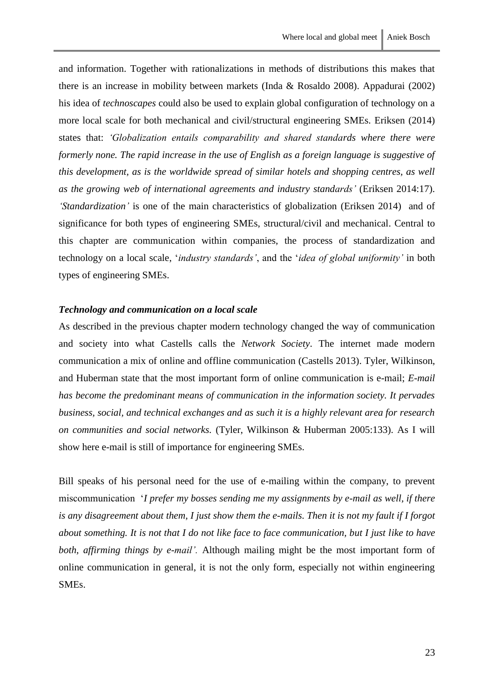and information. Together with rationalizations in methods of distributions this makes that there is an increase in mobility between markets (Inda & Rosaldo 2008). Appadurai (2002) his idea of *technoscapes* could also be used to explain global configuration of technology on a more local scale for both mechanical and civil/structural engineering SMEs. Eriksen (2014) states that: *'Globalization entails comparability and shared standards where there were formerly none. The rapid increase in the use of English as a foreign language is suggestive of this development, as is the worldwide spread of similar hotels and shopping centres, as well as the growing web of international agreements and industry standards'* (Eriksen 2014:17). *'Standardization'* is one of the main characteristics of globalization (Eriksen 2014) and of significance for both types of engineering SMEs, structural/civil and mechanical. Central to this chapter are communication within companies, the process of standardization and technology on a local scale, '*industry standards'*, and the '*idea of global uniformity'* in both types of engineering SMEs.

#### <span id="page-24-0"></span>*Technology and communication on a local scale*

As described in the previous chapter modern technology changed the way of communication and society into what Castells calls the *Network Society*. The internet made modern communication a mix of online and offline communication (Castells 2013). Tyler, Wilkinson, and Huberman state that the most important form of online communication is e-mail; *E-mail has become the predominant means of communication in the information society. It pervades business, social, and technical exchanges and as such it is a highly relevant area for research on communities and social networks.* (Tyler, Wilkinson & Huberman 2005:133). As I will show here e-mail is still of importance for engineering SMEs.

Bill speaks of his personal need for the use of e-mailing within the company, to prevent miscommunication '*I prefer my bosses sending me my assignments by e-mail as well, if there is any disagreement about them, I just show them the e-mails. Then it is not my fault if I forgot about something. It is not that I do not like face to face communication, but I just like to have both, affirming things by e-mail'.* Although mailing might be the most important form of online communication in general, it is not the only form, especially not within engineering SMEs.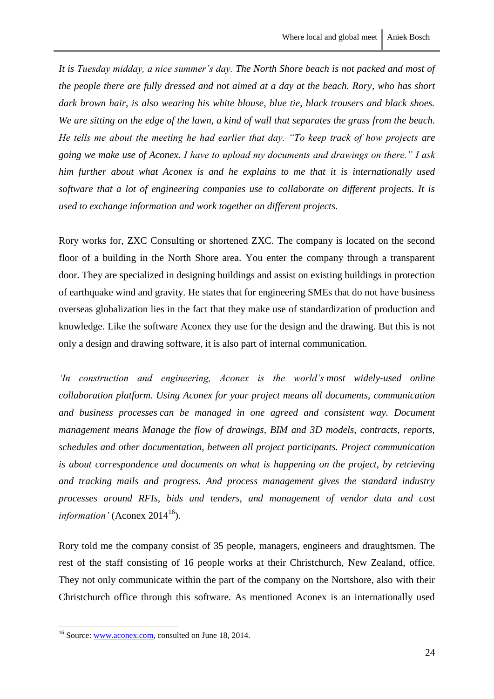*It is Tuesday midday, a nice summer's day. The North Shore beach is not packed and most of the people there are fully dressed and not aimed at a day at the beach. Rory, who has short dark brown hair, is also wearing his white blouse, blue tie, black trousers and black shoes. We are sitting on the edge of the lawn, a kind of wall that separates the grass from the beach. He tells me about the meeting he had earlier that day. "To keep track of how projects are going we make use of Aconex. I have to upload my documents and drawings on there." I ask him further about what Aconex is and he explains to me that it is internationally used software that a lot of engineering companies use to collaborate on different projects. It is used to exchange information and work together on different projects.* 

Rory works for, ZXC Consulting or shortened ZXC. The company is located on the second floor of a building in the North Shore area. You enter the company through a transparent door. They are specialized in designing buildings and assist on existing buildings in protection of earthquake wind and gravity. He states that for engineering SMEs that do not have business overseas globalization lies in the fact that they make use of standardization of production and knowledge. Like the software Aconex they use for the design and the drawing. But this is not only a design and drawing software, it is also part of internal communication.

*'In construction and engineering, Aconex is the world's most widely-used online collaboration platform. Using Aconex for your project means all documents, communication and business processes can be managed in one agreed and consistent way. Document management means Manage the flow of drawings, BIM and 3D models, contracts, reports, schedules and other documentation, between all project participants. Project communication is about correspondence and documents on what is happening on the project, by retrieving and tracking mails and progress. And process management gives the standard industry processes around RFIs, bids and tenders, and management of vendor data and cost information'* (Aconex 2014<sup>16</sup>).

Rory told me the company consist of 35 people, managers, engineers and draughtsmen. The rest of the staff consisting of 16 people works at their Christchurch, New Zealand, office. They not only communicate within the part of the company on the Nortshore, also with their Christchurch office through this software. As mentioned Aconex is an internationally used

<sup>&</sup>lt;sup>16</sup> Source: [www.aconex.com,](http://www.aconex.com/) consulted on June 18, 2014.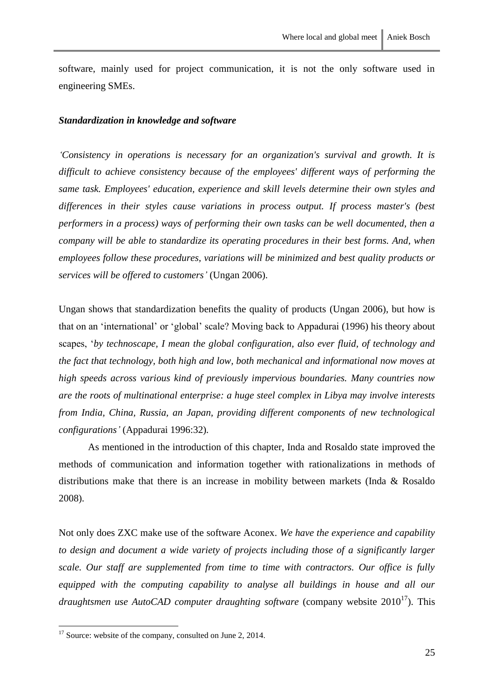software, mainly used for project communication, it is not the only software used in engineering SMEs.

#### <span id="page-26-0"></span>*Standardization in knowledge and software*

*'Consistency in operations is necessary for an organization's survival and growth. It is difficult to achieve consistency because of the employees' different ways of performing the same task. Employees' education, experience and skill levels determine their own styles and differences in their styles cause variations in process output. If process master's (best performers in a process) ways of performing their own tasks can be well documented, then a company will be able to standardize its operating procedures in their best forms. And, when employees follow these procedures, variations will be minimized and best quality products or services will be offered to customers'* (Ungan 2006).

Ungan shows that standardization benefits the quality of products (Ungan 2006), but how is that on an 'international' or 'global' scale? Moving back to Appadurai (1996) his theory about scapes, '*by technoscape, I mean the global configuration, also ever fluid, of technology and the fact that technology, both high and low, both mechanical and informational now moves at high speeds across various kind of previously impervious boundaries. Many countries now are the roots of multinational enterprise: a huge steel complex in Libya may involve interests from India, China, Russia, an Japan, providing different components of new technological configurations'* (Appadurai 1996:32)*.*

As mentioned in the introduction of this chapter, Inda and Rosaldo state improved the methods of communication and information together with rationalizations in methods of distributions make that there is an increase in mobility between markets (Inda & Rosaldo 2008).

Not only does ZXC make use of the software Aconex. *We have the experience and capability to design and document a wide variety of projects including those of a significantly larger scale. Our staff are supplemented from time to time with contractors. Our office is fully equipped with the computing capability to analyse all buildings in house and all our draughtsmen use AutoCAD computer draughting software* (company website 2010<sup>17</sup>). This

 $17$  Source: website of the company, consulted on June 2, 2014.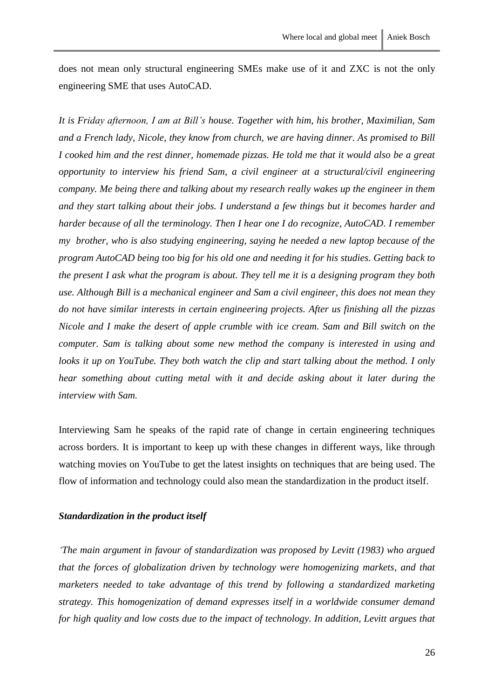does not mean only structural engineering SMEs make use of it and ZXC is not the only engineering SME that uses AutoCAD.

*It is Friday afternoon, I am at Bill's house. Together with him, his brother, Maximilian, Sam and a French lady, Nicole, they know from church, we are having dinner. As promised to Bill I cooked him and the rest dinner, homemade pizzas. He told me that it would also be a great opportunity to interview his friend Sam, a civil engineer at a structural/civil engineering company. Me being there and talking about my research really wakes up the engineer in them and they start talking about their jobs. I understand a few things but it becomes harder and harder because of all the terminology. Then I hear one I do recognize, AutoCAD. I remember my brother, who is also studying engineering, saying he needed a new laptop because of the program AutoCAD being too big for his old one and needing it for his studies. Getting back to the present I ask what the program is about. They tell me it is a designing program they both use. Although Bill is a mechanical engineer and Sam a civil engineer, this does not mean they do not have similar interests in certain engineering projects. After us finishing all the pizzas Nicole and I make the desert of apple crumble with ice cream. Sam and Bill switch on the computer. Sam is talking about some new method the company is interested in using and looks it up on YouTube. They both watch the clip and start talking about the method. I only hear something about cutting metal with it and decide asking about it later during the interview with Sam.* 

Interviewing Sam he speaks of the rapid rate of change in certain engineering techniques across borders. It is important to keep up with these changes in different ways, like through watching movies on YouTube to get the latest insights on techniques that are being used. The flow of information and technology could also mean the standardization in the product itself.

#### <span id="page-27-0"></span>*Standardization in the product itself*

*'The main argument in favour of standardization was proposed by Levitt (1983) who argued that the forces of globalization driven by technology were homogenizing markets, and that marketers needed to take advantage of this trend by following a standardized marketing strategy. This homogenization of demand expresses itself in a worldwide consumer demand for high quality and low costs due to the impact of technology. In addition, Levitt argues that*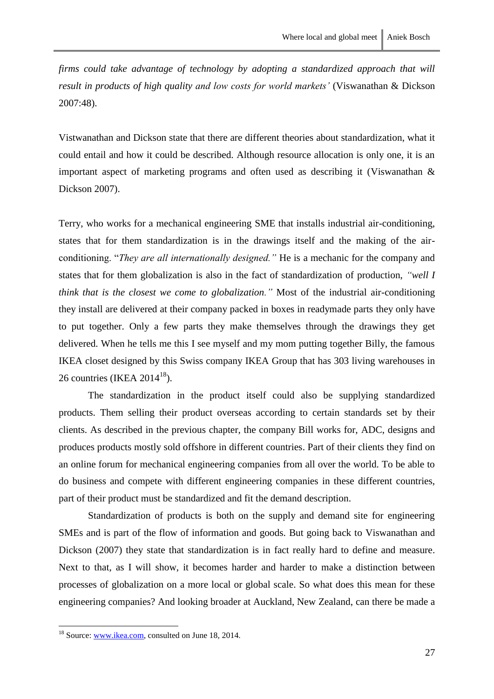*firms could take advantage of technology by adopting a standardized approach that will result in products of high quality and low costs for world markets'* (Viswanathan & Dickson 2007:48).

Vistwanathan and Dickson state that there are different theories about standardization, what it could entail and how it could be described. Although resource allocation is only one, it is an important aspect of marketing programs and often used as describing it (Viswanathan & Dickson 2007).

Terry, who works for a mechanical engineering SME that installs industrial air-conditioning, states that for them standardization is in the drawings itself and the making of the airconditioning. "*They are all internationally designed."* He is a mechanic for the company and states that for them globalization is also in the fact of standardization of production, *"well I think that is the closest we come to globalization."* Most of the industrial air-conditioning they install are delivered at their company packed in boxes in readymade parts they only have to put together. Only a few parts they make themselves through the drawings they get delivered. When he tells me this I see myself and my mom putting together Billy, the famous IKEA closet designed by this Swiss company IKEA Group that has 303 living warehouses in 26 countries (IKEA  $2014^{18}$ ).

The standardization in the product itself could also be supplying standardized products. Them selling their product overseas according to certain standards set by their clients. As described in the previous chapter, the company Bill works for, ADC, designs and produces products mostly sold offshore in different countries. Part of their clients they find on an online forum for mechanical engineering companies from all over the world. To be able to do business and compete with different engineering companies in these different countries, part of their product must be standardized and fit the demand description.

Standardization of products is both on the supply and demand site for engineering SMEs and is part of the flow of information and goods. But going back to Viswanathan and Dickson (2007) they state that standardization is in fact really hard to define and measure. Next to that, as I will show, it becomes harder and harder to make a distinction between processes of globalization on a more local or global scale. So what does this mean for these engineering companies? And looking broader at Auckland, New Zealand, can there be made a

<sup>&</sup>lt;sup>18</sup> Source: [www.ikea.com,](http://www.ikea.com/) consulted on June 18, 2014.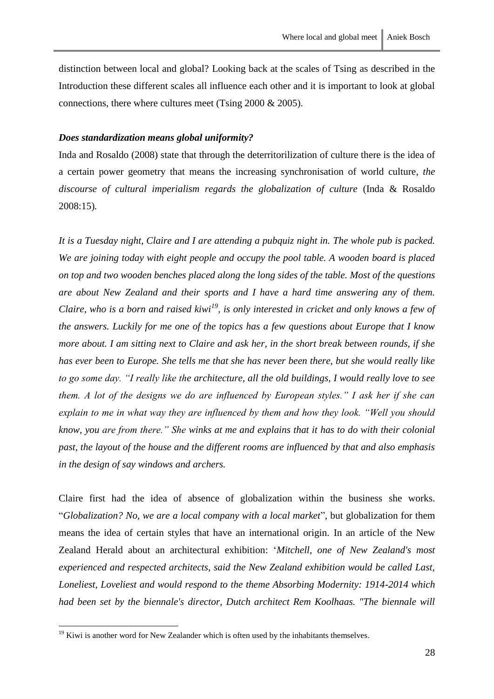distinction between local and global? Looking back at the scales of Tsing as described in the Introduction these different scales all influence each other and it is important to look at global connections, there where cultures meet (Tsing 2000 & 2005).

#### <span id="page-29-0"></span>*Does standardization means global uniformity?*

Inda and Rosaldo (2008) state that through the deterritorilization of culture there is the idea of a certain power geometry that means the increasing synchronisation of world culture, *the discourse of cultural imperialism regards the globalization of culture* (Inda & Rosaldo 2008:15)*.* 

*It is a Tuesday night, Claire and I are attending a pubquiz night in. The whole pub is packed. We are joining today with eight people and occupy the pool table. A wooden board is placed on top and two wooden benches placed along the long sides of the table. Most of the questions are about New Zealand and their sports and I have a hard time answering any of them. Claire, who is a born and raised kiwi<sup>19</sup>, is only interested in cricket and only knows a few of the answers. Luckily for me one of the topics has a few questions about Europe that I know more about. I am sitting next to Claire and ask her, in the short break between rounds, if she has ever been to Europe. She tells me that she has never been there, but she would really like to go some day. "I really like the architecture, all the old buildings, I would really love to see them. A lot of the designs we do are influenced by European styles." I ask her if she can explain to me in what way they are influenced by them and how they look. "Well you should know, you are from there." She winks at me and explains that it has to do with their colonial past, the layout of the house and the different rooms are influenced by that and also emphasis in the design of say windows and archers.* 

Claire first had the idea of absence of globalization within the business she works. "*Globalization? No, we are a local company with a local market*", but globalization for them means the idea of certain styles that have an international origin. In an article of the New Zealand Herald about an architectural exhibition: '*Mitchell, one of New Zealand's most experienced and respected architects, said the New Zealand exhibition would be called Last, Loneliest, Loveliest and would respond to the theme Absorbing Modernity: 1914-2014 which had been set by the biennale's director, Dutch architect Rem Koolhaas. "The biennale will* 

 $19$  Kiwi is another word for New Zealander which is often used by the inhabitants themselves.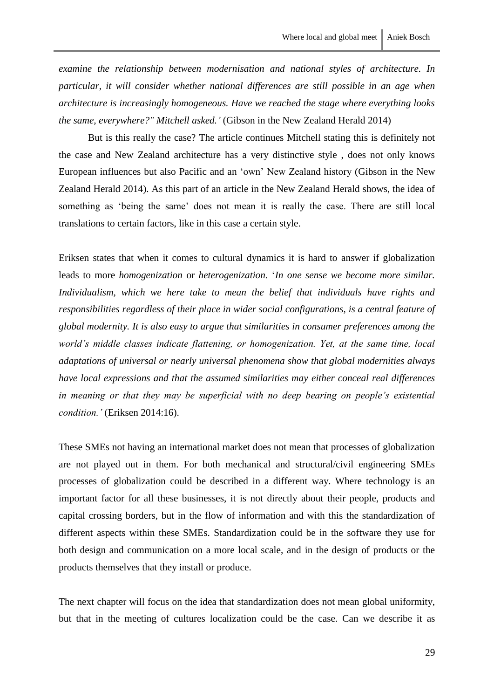*examine the relationship between modernisation and national styles of architecture. In particular, it will consider whether national differences are still possible in an age when architecture is increasingly homogeneous. Have we reached the stage where everything looks the same, everywhere?" Mitchell asked.'* (Gibson in the New Zealand Herald 2014)

But is this really the case? The article continues Mitchell stating this is definitely not the case and New Zealand architecture has a very distinctive style , does not only knows European influences but also Pacific and an 'own' New Zealand history (Gibson in the New Zealand Herald 2014). As this part of an article in the New Zealand Herald shows, the idea of something as 'being the same' does not mean it is really the case. There are still local translations to certain factors, like in this case a certain style.

Eriksen states that when it comes to cultural dynamics it is hard to answer if globalization leads to more *homogenization* or *heterogenization*. '*In one sense we become more similar. Individualism, which we here take to mean the belief that individuals have rights and responsibilities regardless of their place in wider social configurations, is a central feature of global modernity. It is also easy to argue that similarities in consumer preferences among the world's middle classes indicate flattening, or homogenization. Yet, at the same time, local adaptations of universal or nearly universal phenomena show that global modernities always have local expressions and that the assumed similarities may either conceal real differences in meaning or that they may be superficial with no deep bearing on people's existential condition.'* (Eriksen 2014:16).

These SMEs not having an international market does not mean that processes of globalization are not played out in them. For both mechanical and structural/civil engineering SMEs processes of globalization could be described in a different way. Where technology is an important factor for all these businesses, it is not directly about their people, products and capital crossing borders, but in the flow of information and with this the standardization of different aspects within these SMEs. Standardization could be in the software they use for both design and communication on a more local scale, and in the design of products or the products themselves that they install or produce.

The next chapter will focus on the idea that standardization does not mean global uniformity, but that in the meeting of cultures localization could be the case. Can we describe it as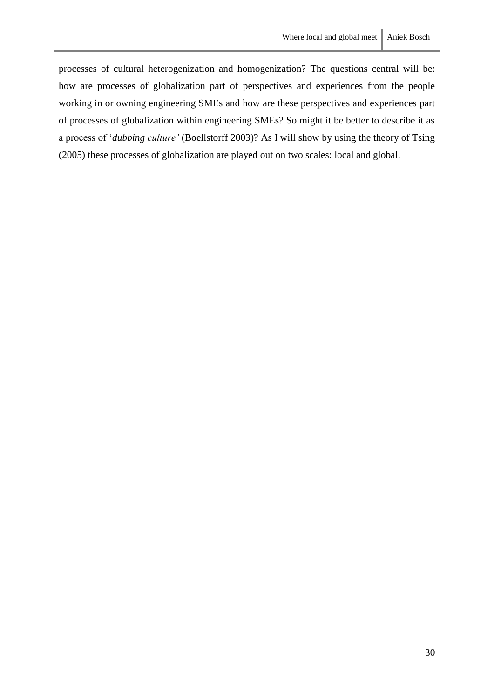processes of cultural heterogenization and homogenization? The questions central will be: how are processes of globalization part of perspectives and experiences from the people working in or owning engineering SMEs and how are these perspectives and experiences part of processes of globalization within engineering SMEs? So might it be better to describe it as a process of '*dubbing culture'* (Boellstorff 2003)? As I will show by using the theory of Tsing (2005) these processes of globalization are played out on two scales: local and global.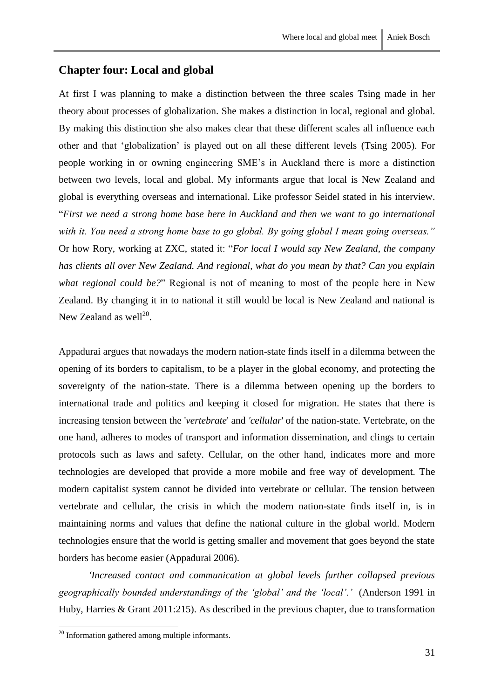# <span id="page-32-0"></span>**Chapter four: Local and global**

At first I was planning to make a distinction between the three scales Tsing made in her theory about processes of globalization. She makes a distinction in local, regional and global. By making this distinction she also makes clear that these different scales all influence each other and that 'globalization' is played out on all these different levels (Tsing 2005). For people working in or owning engineering SME's in Auckland there is more a distinction between two levels, local and global. My informants argue that local is New Zealand and global is everything overseas and international. Like professor Seidel stated in his interview. "*First we need a strong home base here in Auckland and then we want to go international with it. You need a strong home base to go global. By going global I mean going overseas."*  Or how Rory, working at ZXC, stated it: "*For local I would say New Zealand, the company has clients all over New Zealand. And regional, what do you mean by that? Can you explain what regional could be?*" Regional is not of meaning to most of the people here in New Zealand. By changing it in to national it still would be local is New Zealand and national is New Zealand as well $^{20}$ .

Appadurai argues that nowadays the modern nation-state finds itself in a dilemma between the opening of its borders to capitalism, to be a player in the global economy, and protecting the sovereignty of the nation-state. There is a dilemma between opening up the borders to international trade and politics and keeping it closed for migration. He states that there is increasing tension between the '*vertebrate*' and *'cellular*' of the nation-state. Vertebrate, on the one hand, adheres to modes of transport and information dissemination, and clings to certain protocols such as laws and safety. Cellular, on the other hand, indicates more and more technologies are developed that provide a more mobile and free way of development. The modern capitalist system cannot be divided into vertebrate or cellular. The tension between vertebrate and cellular, the crisis in which the modern nation-state finds itself in, is in maintaining norms and values that define the national culture in the global world. Modern technologies ensure that the world is getting smaller and movement that goes beyond the state borders has become easier (Appadurai 2006).

*'Increased contact and communication at global levels further collapsed previous geographically bounded understandings of the 'global' and the 'local'.'* (Anderson 1991 in Huby, Harries & Grant 2011:215). As described in the previous chapter, due to transformation

 $20$  Information gathered among multiple informants.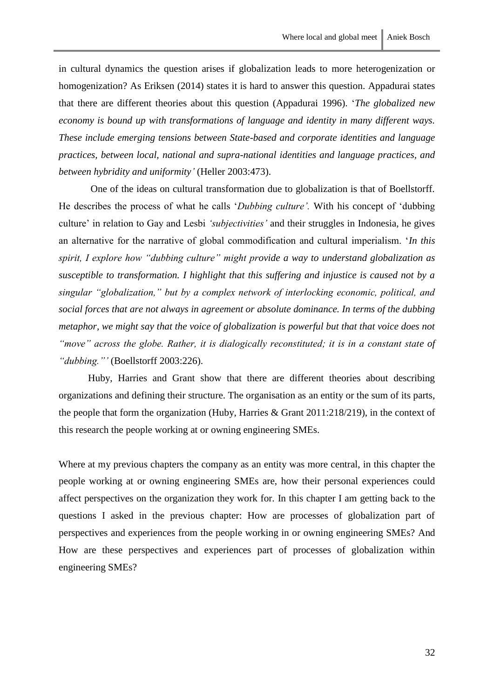in cultural dynamics the question arises if globalization leads to more heterogenization or homogenization? As Eriksen (2014) states it is hard to answer this question. Appadurai states that there are different theories about this question (Appadurai 1996). '*The globalized new economy is bound up with transformations of language and identity in many different ways. These include emerging tensions between State-based and corporate identities and language practices, between local, national and supra-national identities and language practices, and between hybridity and uniformity'* (Heller 2003:473).

One of the ideas on cultural transformation due to globalization is that of Boellstorff. He describes the process of what he calls '*Dubbing culture'.* With his concept of 'dubbing culture' in relation to Gay and Lesbi *'subjectivities'* and their struggles in Indonesia, he gives an alternative for the narrative of global commodification and cultural imperialism. '*In this spirit, I explore how "dubbing culture" might provide a way to understand globalization as susceptible to transformation. I highlight that this suffering and injustice is caused not by a singular "globalization," but by a complex network of interlocking economic, political, and social forces that are not always in agreement or absolute dominance. In terms of the dubbing metaphor, we might say that the voice of globalization is powerful but that that voice does not "move" across the globe. Rather, it is dialogically reconstituted; it is in a constant state of "dubbing."'* (Boellstorff 2003:226).

Huby, Harries and Grant show that there are different theories about describing organizations and defining their structure. The organisation as an entity or the sum of its parts, the people that form the organization (Huby, Harries & Grant 2011:218/219), in the context of this research the people working at or owning engineering SMEs.

Where at my previous chapters the company as an entity was more central, in this chapter the people working at or owning engineering SMEs are, how their personal experiences could affect perspectives on the organization they work for. In this chapter I am getting back to the questions I asked in the previous chapter: How are processes of globalization part of perspectives and experiences from the people working in or owning engineering SMEs? And How are these perspectives and experiences part of processes of globalization within engineering SMEs?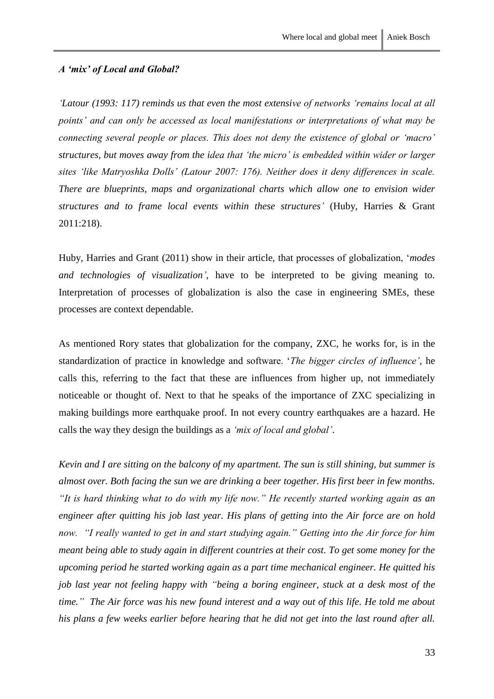## <span id="page-34-0"></span>*A 'mix' of Local and Global?*

*'Latour (1993: 117) reminds us that even the most extensive of networks 'remains local at all points' and can only be accessed as local manifestations or interpretations of what may be connecting several people or places. This does not deny the existence of global or 'macro' structures, but moves away from the idea that 'the micro' is embedded within wider or larger sites 'like Matryoshka Dolls' (Latour 2007: 176). Neither does it deny differences in scale. There are blueprints, maps and organizational charts which allow one to envision wider structures and to frame local events within these structures'* (Huby, Harries & Grant 2011:218).

Huby, Harries and Grant (2011) show in their article, that processes of globalization, '*modes and technologies of visualization'*, have to be interpreted to be giving meaning to. Interpretation of processes of globalization is also the case in engineering SMEs, these processes are context dependable.

As mentioned Rory states that globalization for the company, ZXC, he works for, is in the standardization of practice in knowledge and software. '*The bigger circles of influence'*, he calls this, referring to the fact that these are influences from higher up, not immediately noticeable or thought of. Next to that he speaks of the importance of ZXC specializing in making buildings more earthquake proof. In not every country earthquakes are a hazard. He calls the way they design the buildings as a *'mix of local and global'*.

*Kevin and I are sitting on the balcony of my apartment. The sun is still shining, but summer is almost over. Both facing the sun we are drinking a beer together. His first beer in few months. "It is hard thinking what to do with my life now." He recently started working again as an engineer after quitting his job last year. His plans of getting into the Air force are on hold now. "I really wanted to get in and start studying again." Getting into the Air force for him meant being able to study again in different countries at their cost. To get some money for the upcoming period he started working again as a part time mechanical engineer. He quitted his job last year not feeling happy with "being a boring engineer, stuck at a desk most of the time." The Air force was his new found interest and a way out of this life. He told me about his plans a few weeks earlier before hearing that he did not get into the last round after all.*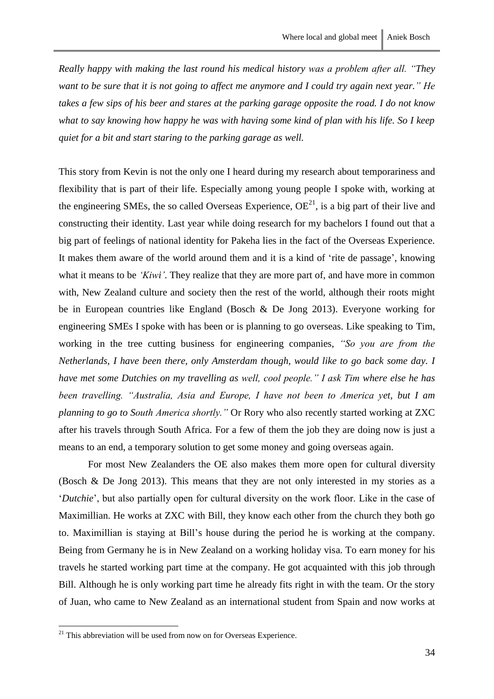*Really happy with making the last round his medical history was a problem after all. "They want to be sure that it is not going to affect me anymore and I could try again next year." He takes a few sips of his beer and stares at the parking garage opposite the road. I do not know what to say knowing how happy he was with having some kind of plan with his life. So I keep quiet for a bit and start staring to the parking garage as well.* 

This story from Kevin is not the only one I heard during my research about temporariness and flexibility that is part of their life. Especially among young people I spoke with, working at the engineering SMEs, the so called Overseas Experience,  $OE<sup>21</sup>$ , is a big part of their live and constructing their identity. Last year while doing research for my bachelors I found out that a big part of feelings of national identity for Pakeha lies in the fact of the Overseas Experience. It makes them aware of the world around them and it is a kind of 'rite de passage', knowing what it means to be *'Kiwi'*. They realize that they are more part of, and have more in common with, New Zealand culture and society then the rest of the world, although their roots might be in European countries like England (Bosch & De Jong 2013). Everyone working for engineering SMEs I spoke with has been or is planning to go overseas. Like speaking to Tim, working in the tree cutting business for engineering companies, *"So you are from the Netherlands, I have been there, only Amsterdam though, would like to go back some day. I have met some Dutchies on my travelling as well, cool people." I ask Tim where else he has been travelling. "Australia, Asia and Europe, I have not been to America yet, but I am planning to go to South America shortly."* Or Rory who also recently started working at ZXC after his travels through South Africa. For a few of them the job they are doing now is just a means to an end, a temporary solution to get some money and going overseas again.

For most New Zealanders the OE also makes them more open for cultural diversity (Bosch & De Jong 2013). This means that they are not only interested in my stories as a '*Dutchie*', but also partially open for cultural diversity on the work floor. Like in the case of Maximillian. He works at ZXC with Bill, they know each other from the church they both go to. Maximillian is staying at Bill's house during the period he is working at the company. Being from Germany he is in New Zealand on a working holiday visa. To earn money for his travels he started working part time at the company. He got acquainted with this job through Bill. Although he is only working part time he already fits right in with the team. Or the story of Juan, who came to New Zealand as an international student from Spain and now works at

 $21$  This abbreviation will be used from now on for Overseas Experience.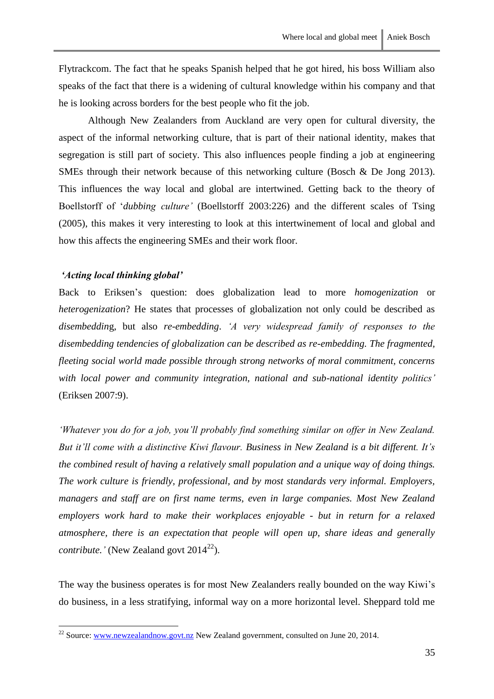Although New Zealanders from Auckland are very open for cultural diversity, the aspect of the informal networking culture, that is part of their national identity, makes that segregation is still part of society. This also influences people finding a job at engineering SMEs through their network because of this networking culture (Bosch & De Jong 2013). This influences the way local and global are intertwined. Getting back to the theory of Boellstorff of '*dubbing culture'* (Boellstorff 2003:226) and the different scales of Tsing (2005), this makes it very interesting to look at this intertwinement of local and global and how this affects the engineering SMEs and their work floor.

#### <span id="page-36-0"></span>*'Acting local thinking global'*

1

Back to Eriksen's question: does globalization lead to more *homogenization* or *heterogenization*? He states that processes of globalization not only could be described as *disembeddin*g, but also *re-embedding*. *'A very widespread family of responses to the disembedding tendencies of globalization can be described as re-embedding. The fragmented, fleeting social world made possible through strong networks of moral commitment, concerns with local power and community integration, national and sub-national identity politics'* (Eriksen 2007:9).

*'Whatever you do for a job, you'll probably find something similar on offer in New Zealand. But it'll come with a distinctive Kiwi flavour. Business in New Zealand is a bit different. It's the combined result of having a relatively small population and a unique way of doing things. The work culture is friendly, professional, and by most standards very informal. Employers, managers and staff are on first name terms, even in large companies. Most New Zealand employers work hard to make their workplaces enjoyable - but in return for a relaxed atmosphere, there is an expectation that people will open up, share ideas and generally contribute.'* (New Zealand govt  $2014^{22}$ ).

The way the business operates is for most New Zealanders really bounded on the way Kiwi's do business, in a less stratifying, informal way on a more horizontal level. Sheppard told me

 $^{22}$  Source: [www.newzealandnow.govt.nz](http://www.newzealandnow.govt.nz/) New Zealand government, consulted on June 20, 2014.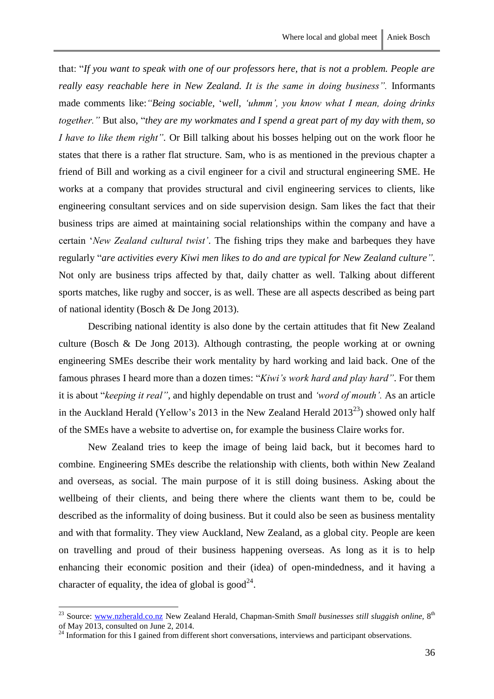that: "*If you want to speak with one of our professors here, that is not a problem. People are really easy reachable here in New Zealand. It is the same in doing business".* Informants made comments like:*"Being sociable,* '*well, 'uhmm', you know what I mean, doing drinks together."* But also, "*they are my workmates and I spend a great part of my day with them, so I have to like them right".* Or Bill talking about his bosses helping out on the work floor he states that there is a rather flat structure. Sam, who is as mentioned in the previous chapter a friend of Bill and working as a civil engineer for a civil and structural engineering SME. He works at a company that provides structural and civil engineering services to clients, like engineering consultant services and on side supervision design. Sam likes the fact that their business trips are aimed at maintaining social relationships within the company and have a certain '*New Zealand cultural twist'*. The fishing trips they make and barbeques they have regularly "*are activities every Kiwi men likes to do and are typical for New Zealand culture".* Not only are business trips affected by that, daily chatter as well. Talking about different sports matches, like rugby and soccer, is as well. These are all aspects described as being part of national identity (Bosch & De Jong 2013).

Describing national identity is also done by the certain attitudes that fit New Zealand culture (Bosch & De Jong 2013). Although contrasting, the people working at or owning engineering SMEs describe their work mentality by hard working and laid back. One of the famous phrases I heard more than a dozen times: "*Kiwi's work hard and play hard"*. For them it is about "*keeping it real",* and highly dependable on trust and *'word of mouth'.* As an article in the Auckland Herald (Yellow's 2013 in the New Zealand Herald  $2013^{23}$ ) showed only half of the SMEs have a website to advertise on, for example the business Claire works for.

New Zealand tries to keep the image of being laid back, but it becomes hard to combine. Engineering SMEs describe the relationship with clients, both within New Zealand and overseas, as social. The main purpose of it is still doing business. Asking about the wellbeing of their clients, and being there where the clients want them to be, could be described as the informality of doing business. But it could also be seen as business mentality and with that formality. They view Auckland, New Zealand, as a global city. People are keen on travelling and proud of their business happening overseas. As long as it is to help enhancing their economic position and their (idea) of open-mindedness, and it having a character of equality, the idea of global is  $\text{good}^{24}$ .

<sup>&</sup>lt;sup>23</sup> Source: [www.nzherald.co.nz](http://www.nzherald.co.nz/) New Zealand Herald, Chapman-Smith *Small businesses still sluggish online*, 8<sup>th</sup> of May 2013, consulted on June 2, 2014.

 $^{24}$  Information for this I gained from different short conversations, interviews and participant observations.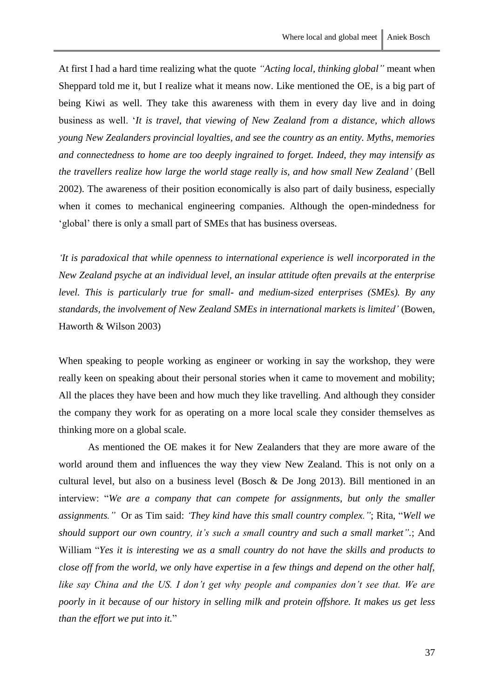At first I had a hard time realizing what the quote *"Acting local, thinking global"* meant when Sheppard told me it, but I realize what it means now. Like mentioned the OE, is a big part of being Kiwi as well. They take this awareness with them in every day live and in doing business as well. '*It is travel, that viewing of New Zealand from a distance, which allows young New Zealanders provincial loyalties, and see the country as an entity. Myths, memories and connectedness to home are too deeply ingrained to forget. Indeed, they may intensify as the travellers realize how large the world stage really is, and how small New Zealand'* (Bell 2002). The awareness of their position economically is also part of daily business, especially when it comes to mechanical engineering companies. Although the open-mindedness for 'global' there is only a small part of SMEs that has business overseas.

*'It is paradoxical that while openness to international experience is well incorporated in the New Zealand psyche at an individual level, an insular attitude often prevails at the enterprise level. This is particularly true for small- and medium-sized enterprises (SMEs). By any standards, the involvement of New Zealand SMEs in international markets is limited'* (Bowen, Haworth & Wilson 2003)

When speaking to people working as engineer or working in say the workshop, they were really keen on speaking about their personal stories when it came to movement and mobility; All the places they have been and how much they like travelling. And although they consider the company they work for as operating on a more local scale they consider themselves as thinking more on a global scale.

As mentioned the OE makes it for New Zealanders that they are more aware of the world around them and influences the way they view New Zealand. This is not only on a cultural level, but also on a business level (Bosch & De Jong 2013). Bill mentioned in an interview: "*We are a company that can compete for assignments, but only the smaller assignments."* Or as Tim said: *'They kind have this small country complex."*; Rita, "*Well we should support our own country, it's such a small country and such a small market".*; And William "*Yes it is interesting we as a small country do not have the skills and products to close off from the world, we only have expertise in a few things and depend on the other half, like say China and the US. I don't get why people and companies don't see that. We are poorly in it because of our history in selling milk and protein offshore. It makes us get less than the effort we put into it.*"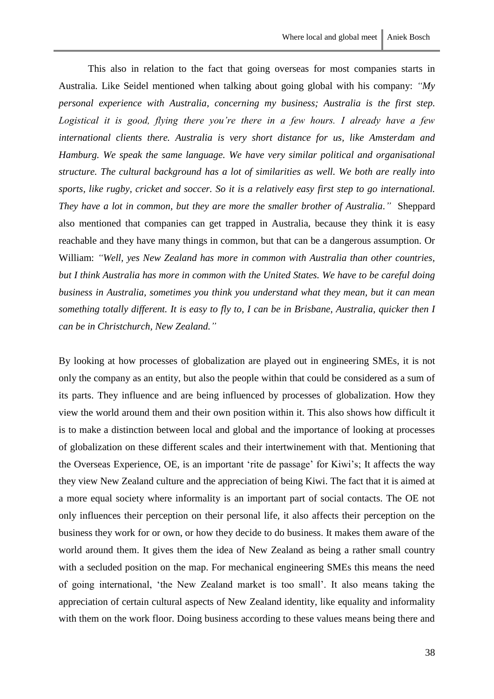This also in relation to the fact that going overseas for most companies starts in Australia. Like Seidel mentioned when talking about going global with his company: *"My personal experience with Australia, concerning my business; Australia is the first step. Logistical it is good, flying there you're there in a few hours. I already have a few international clients there. Australia is very short distance for us, like Amsterdam and Hamburg. We speak the same language. We have very similar political and organisational structure. The cultural background has a lot of similarities as well. We both are really into sports, like rugby, cricket and soccer. So it is a relatively easy first step to go international. They have a lot in common, but they are more the smaller brother of Australia."* Sheppard also mentioned that companies can get trapped in Australia, because they think it is easy reachable and they have many things in common, but that can be a dangerous assumption. Or William: *"Well, yes New Zealand has more in common with Australia than other countries, but I think Australia has more in common with the United States. We have to be careful doing business in Australia, sometimes you think you understand what they mean, but it can mean something totally different. It is easy to fly to, I can be in Brisbane, Australia, quicker then I can be in Christchurch, New Zealand."*

By looking at how processes of globalization are played out in engineering SMEs, it is not only the company as an entity, but also the people within that could be considered as a sum of its parts. They influence and are being influenced by processes of globalization. How they view the world around them and their own position within it. This also shows how difficult it is to make a distinction between local and global and the importance of looking at processes of globalization on these different scales and their intertwinement with that. Mentioning that the Overseas Experience, OE, is an important 'rite de passage' for Kiwi's; It affects the way they view New Zealand culture and the appreciation of being Kiwi. The fact that it is aimed at a more equal society where informality is an important part of social contacts. The OE not only influences their perception on their personal life, it also affects their perception on the business they work for or own, or how they decide to do business. It makes them aware of the world around them. It gives them the idea of New Zealand as being a rather small country with a secluded position on the map. For mechanical engineering SMEs this means the need of going international, 'the New Zealand market is too small'. It also means taking the appreciation of certain cultural aspects of New Zealand identity, like equality and informality with them on the work floor. Doing business according to these values means being there and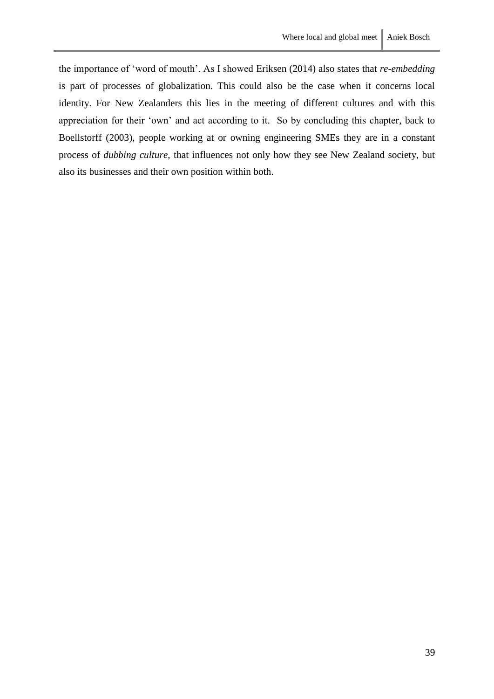the importance of 'word of mouth'. As I showed Eriksen (2014) also states that *re-embedding* is part of processes of globalization. This could also be the case when it concerns local identity. For New Zealanders this lies in the meeting of different cultures and with this appreciation for their 'own' and act according to it. So by concluding this chapter, back to Boellstorff (2003), people working at or owning engineering SMEs they are in a constant process of *dubbing culture,* that influences not only how they see New Zealand society, but also its businesses and their own position within both.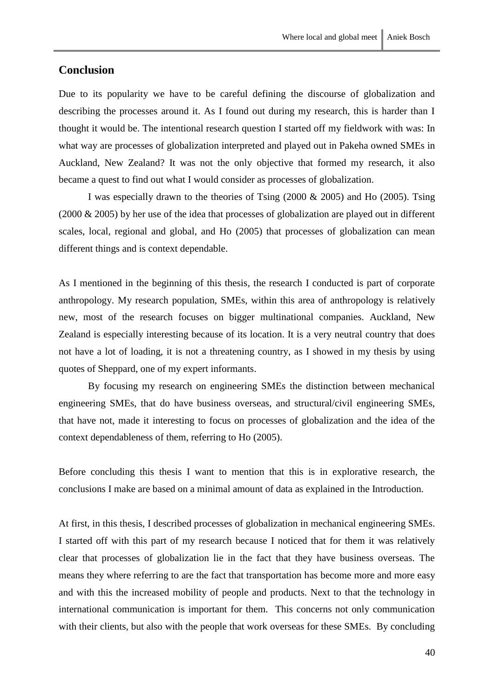# <span id="page-41-0"></span>**Conclusion**

Due to its popularity we have to be careful defining the discourse of globalization and describing the processes around it. As I found out during my research, this is harder than I thought it would be. The intentional research question I started off my fieldwork with was: In what way are processes of globalization interpreted and played out in Pakeha owned SMEs in Auckland, New Zealand? It was not the only objective that formed my research, it also became a quest to find out what I would consider as processes of globalization.

I was especially drawn to the theories of Tsing (2000 & 2005) and Ho (2005). Tsing (2000 & 2005) by her use of the idea that processes of globalization are played out in different scales, local, regional and global, and Ho (2005) that processes of globalization can mean different things and is context dependable.

As I mentioned in the beginning of this thesis, the research I conducted is part of corporate anthropology. My research population, SMEs, within this area of anthropology is relatively new, most of the research focuses on bigger multinational companies. Auckland, New Zealand is especially interesting because of its location. It is a very neutral country that does not have a lot of loading, it is not a threatening country, as I showed in my thesis by using quotes of Sheppard, one of my expert informants.

By focusing my research on engineering SMEs the distinction between mechanical engineering SMEs, that do have business overseas, and structural/civil engineering SMEs, that have not, made it interesting to focus on processes of globalization and the idea of the context dependableness of them, referring to Ho (2005).

Before concluding this thesis I want to mention that this is in explorative research, the conclusions I make are based on a minimal amount of data as explained in the Introduction.

At first, in this thesis, I described processes of globalization in mechanical engineering SMEs. I started off with this part of my research because I noticed that for them it was relatively clear that processes of globalization lie in the fact that they have business overseas. The means they where referring to are the fact that transportation has become more and more easy and with this the increased mobility of people and products. Next to that the technology in international communication is important for them. This concerns not only communication with their clients, but also with the people that work overseas for these SMEs. By concluding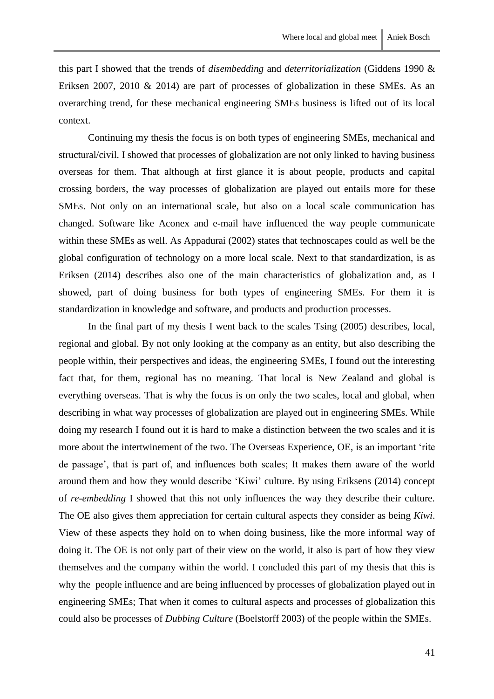Continuing my thesis the focus is on both types of engineering SMEs, mechanical and structural/civil. I showed that processes of globalization are not only linked to having business overseas for them. That although at first glance it is about people, products and capital crossing borders, the way processes of globalization are played out entails more for these SMEs. Not only on an international scale, but also on a local scale communication has changed. Software like Aconex and e-mail have influenced the way people communicate within these SMEs as well. As Appadurai (2002) states that technoscapes could as well be the global configuration of technology on a more local scale. Next to that standardization, is as Eriksen (2014) describes also one of the main characteristics of globalization and, as I showed, part of doing business for both types of engineering SMEs. For them it is standardization in knowledge and software, and products and production processes.

In the final part of my thesis I went back to the scales Tsing (2005) describes, local, regional and global. By not only looking at the company as an entity, but also describing the people within, their perspectives and ideas, the engineering SMEs, I found out the interesting fact that, for them, regional has no meaning. That local is New Zealand and global is everything overseas. That is why the focus is on only the two scales, local and global, when describing in what way processes of globalization are played out in engineering SMEs. While doing my research I found out it is hard to make a distinction between the two scales and it is more about the intertwinement of the two. The Overseas Experience, OE, is an important 'rite de passage', that is part of, and influences both scales; It makes them aware of the world around them and how they would describe 'Kiwi' culture. By using Eriksens (2014) concept of *re-embedding* I showed that this not only influences the way they describe their culture. The OE also gives them appreciation for certain cultural aspects they consider as being *Kiwi*. View of these aspects they hold on to when doing business, like the more informal way of doing it. The OE is not only part of their view on the world, it also is part of how they view themselves and the company within the world. I concluded this part of my thesis that this is why the people influence and are being influenced by processes of globalization played out in engineering SMEs; That when it comes to cultural aspects and processes of globalization this could also be processes of *Dubbing Culture* (Boelstorff 2003) of the people within the SMEs.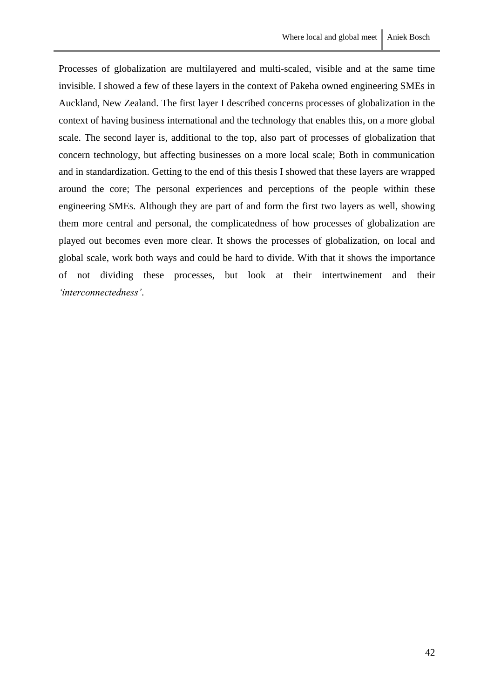Processes of globalization are multilayered and multi-scaled, visible and at the same time invisible. I showed a few of these layers in the context of Pakeha owned engineering SMEs in Auckland, New Zealand. The first layer I described concerns processes of globalization in the context of having business international and the technology that enables this, on a more global scale. The second layer is, additional to the top, also part of processes of globalization that concern technology, but affecting businesses on a more local scale; Both in communication and in standardization. Getting to the end of this thesis I showed that these layers are wrapped around the core; The personal experiences and perceptions of the people within these engineering SMEs. Although they are part of and form the first two layers as well, showing them more central and personal, the complicatedness of how processes of globalization are played out becomes even more clear. It shows the processes of globalization, on local and global scale, work both ways and could be hard to divide. With that it shows the importance of not dividing these processes, but look at their intertwinement and their *'interconnectedness'*.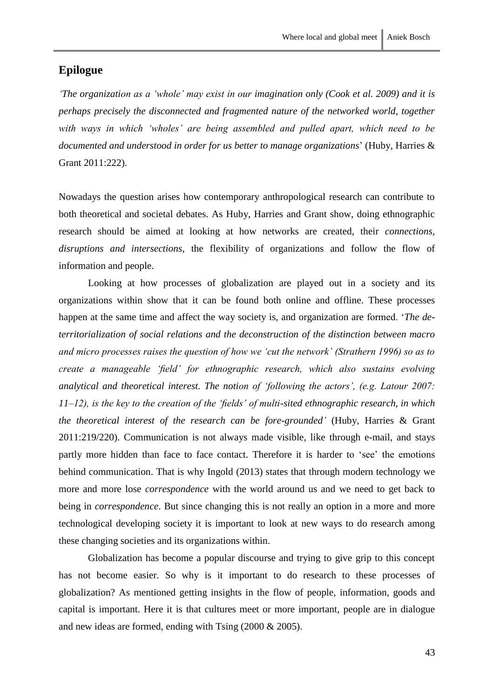# <span id="page-44-0"></span>**Epilogue**

*'The organization as a 'whole' may exist in our imagination only (Cook et al. 2009) and it is perhaps precisely the disconnected and fragmented nature of the networked world, together with ways in which 'wholes' are being assembled and pulled apart, which need to be documented and understood in order for us better to manage organizations*' (Huby, Harries & Grant 2011:222).

Nowadays the question arises how contemporary anthropological research can contribute to both theoretical and societal debates. As Huby, Harries and Grant show, doing ethnographic research should be aimed at looking at how networks are created, their *connections, disruptions and intersections*, the flexibility of organizations and follow the flow of information and people.

Looking at how processes of globalization are played out in a society and its organizations within show that it can be found both online and offline. These processes happen at the same time and affect the way society is, and organization are formed. '*The deterritorialization of social relations and the deconstruction of the distinction between macro and micro processes raises the question of how we 'cut the network' (Strathern 1996) so as to create a manageable 'field' for ethnographic research, which also sustains evolving analytical and theoretical interest. The notion of 'following the actors', (e.g. Latour 2007: 11–12), is the key to the creation of the 'fields' of multi-sited ethnographic research, in which the theoretical interest of the research can be fore-grounded'* (Huby, Harries & Grant 2011:219/220). Communication is not always made visible, like through e-mail, and stays partly more hidden than face to face contact. Therefore it is harder to 'see' the emotions behind communication. That is why Ingold (2013) states that through modern technology we more and more lose *correspondence* with the world around us and we need to get back to being in *correspondence*. But since changing this is not really an option in a more and more technological developing society it is important to look at new ways to do research among these changing societies and its organizations within.

Globalization has become a popular discourse and trying to give grip to this concept has not become easier. So why is it important to do research to these processes of globalization? As mentioned getting insights in the flow of people, information, goods and capital is important. Here it is that cultures meet or more important, people are in dialogue and new ideas are formed, ending with Tsing (2000 & 2005).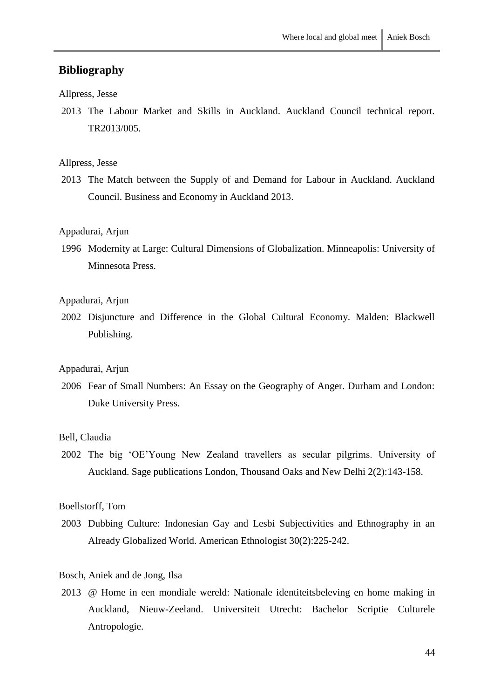# <span id="page-45-0"></span>**Bibliography**

#### Allpress, Jesse

2013 The Labour Market and Skills in Auckland. Auckland Council technical report. TR2013/005.

#### Allpress, Jesse

2013 The Match between the Supply of and Demand for Labour in Auckland. Auckland Council. Business and Economy in Auckland 2013.

#### Appadurai, Arjun

1996 Modernity at Large: Cultural Dimensions of Globalization. Minneapolis: University of Minnesota Press.

#### Appadurai, Arjun

2002 Disjuncture and Difference in the Global Cultural Economy. Malden: Blackwell Publishing.

## Appadurai, Arjun

2006 Fear of Small Numbers: An Essay on the Geography of Anger. Durham and London: Duke University Press.

#### Bell, Claudia

2002 The big 'OE'Young New Zealand travellers as secular pilgrims. University of Auckland. Sage publications London, Thousand Oaks and New Delhi 2(2):143-158.

#### Boellstorff, Tom

2003 Dubbing Culture: Indonesian Gay and Lesbi Subjectivities and Ethnography in an Already Globalized World. American Ethnologist 30(2):225-242.

#### Bosch, Aniek and de Jong, Ilsa

2013 @ Home in een mondiale wereld: Nationale identiteitsbeleving en home making in Auckland, Nieuw-Zeeland. Universiteit Utrecht: Bachelor Scriptie Culturele Antropologie.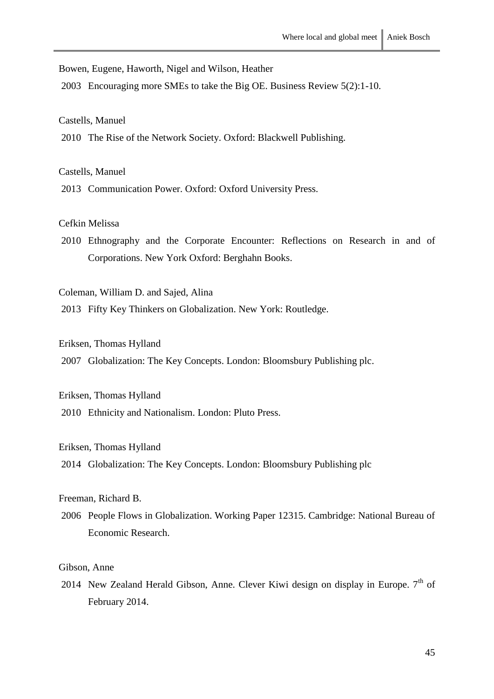Bowen, Eugene, Haworth, Nigel and Wilson, Heather

2003 Encouraging more SMEs to take the Big OE. Business Review 5(2):1-10.

Castells, Manuel

2010 The Rise of the Network Society. Oxford: Blackwell Publishing.

Castells, Manuel

2013 Communication Power. Oxford: Oxford University Press.

Cefkin Melissa

2010 Ethnography and the Corporate Encounter: Reflections on Research in and of Corporations. New York Oxford: Berghahn Books.

Coleman, William D. and Sajed, Alina

2013 Fifty Key Thinkers on Globalization. New York: Routledge.

#### Eriksen, Thomas Hylland

2007 Globalization: The Key Concepts. London: Bloomsbury Publishing plc.

Eriksen, Thomas Hylland

2010 Ethnicity and Nationalism. London: Pluto Press.

#### Eriksen, Thomas Hylland

2014 Globalization: The Key Concepts. London: Bloomsbury Publishing plc

Freeman, Richard B.

2006 People Flows in Globalization. Working Paper 12315. Cambridge: National Bureau of Economic Research.

#### Gibson, Anne

2014 New Zealand Herald Gibson, Anne. Clever Kiwi design on display in Europe.  $7<sup>th</sup>$  of February 2014.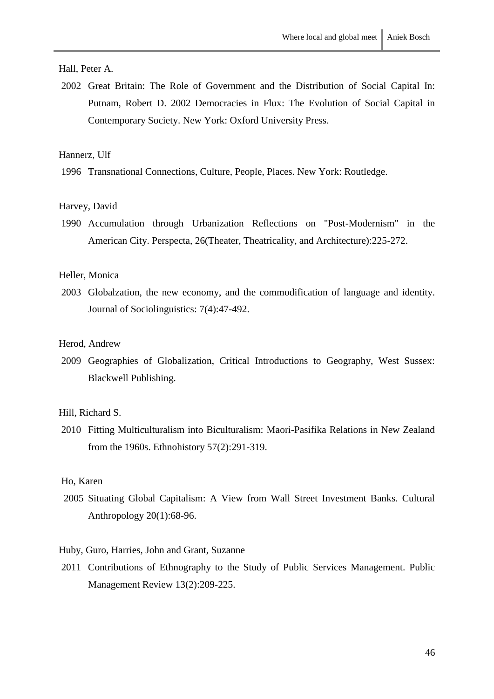# Hall, Peter A.

2002 Great Britain: The Role of Government and the Distribution of Social Capital In: Putnam, Robert D. 2002 Democracies in Flux: The Evolution of Social Capital in Contemporary Society. New York: Oxford University Press.

## Hannerz, Ulf

1996 Transnational Connections, Culture, People, Places. New York: Routledge.

#### Harvey, David

1990 Accumulation through Urbanization Reflections on "Post-Modernism" in the American City. Perspecta, 26(Theater, Theatricality, and Architecture):225-272.

#### Heller, Monica

2003 Globalzation, the new economy, and the commodification of language and identity. Journal of Sociolinguistics: 7(4):47-492.

## Herod, Andrew

2009 Geographies of Globalization, Critical Introductions to Geography, West Sussex: Blackwell Publishing.

#### Hill, Richard S.

2010 Fitting Multiculturalism into Biculturalism: Maori-Pasifika Relations in New Zealand from the 1960s. Ethnohistory 57(2):291-319.

#### Ho, Karen

2005 Situating Global Capitalism: A View from Wall Street Investment Banks. Cultural Anthropology 20(1):68-96.

#### Huby, Guro, Harries, John and Grant, Suzanne

2011 Contributions of Ethnography to the Study of Public Services Management. Public Management Review 13(2):209-225.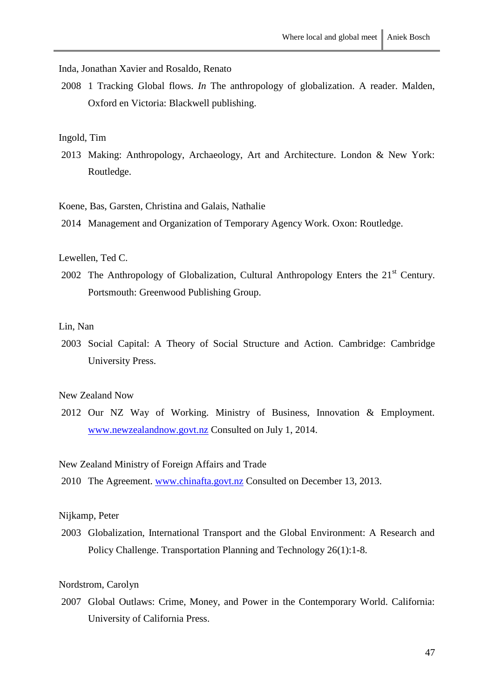Inda, Jonathan Xavier and Rosaldo, Renato

2008 1 Tracking Global flows. *In* The anthropology of globalization. A reader. Malden, Oxford en Victoria: Blackwell publishing.

#### Ingold, Tim

2013 Making: Anthropology, Archaeology, Art and Architecture. London & New York: Routledge.

Koene, Bas, Garsten, Christina and Galais, Nathalie

2014 Management and Organization of Temporary Agency Work. Oxon: Routledge.

#### Lewellen, Ted C.

2002 The Anthropology of Globalization, Cultural Anthropology Enters the  $21<sup>st</sup>$  Century. Portsmouth: Greenwood Publishing Group.

#### Lin, Nan

2003 Social Capital: A Theory of Social Structure and Action. Cambridge: Cambridge University Press.

#### New Zealand Now

2012 Our NZ Way of Working. Ministry of Business, Innovation & Employment. [www.newzealandnow.govt.nz](http://www.newzealandnow.govt.nz/) Consulted on July 1, 2014.

#### New Zealand Ministry of Foreign Affairs and Trade

2010 The Agreement. [www.chinafta.govt.nz](http://www.chinafta.govt.nz/) Consulted on December 13, 2013.

#### Nijkamp, Peter

2003 Globalization, International Transport and the Global Environment: A Research and Policy Challenge. Transportation Planning and Technology 26(1):1-8.

#### Nordstrom, Carolyn

2007 Global Outlaws: Crime, Money, and Power in the Contemporary World. California: University of California Press.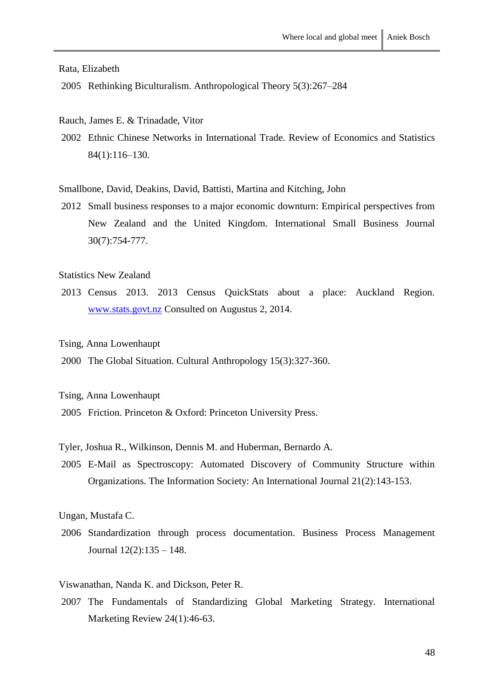Rata, Elizabeth

- 2005 Rethinking Biculturalism. Anthropological Theory 5(3):267–284
- Rauch, James E. & Trinadade, Vitor
- 2002 Ethnic Chinese Networks in International Trade. Review of Economics and Statistics 84(1):116–130.

Smallbone, David, Deakins, David, Battisti, Martina and Kitching, John

2012 Small business responses to a major economic downturn: Empirical perspectives from New Zealand and the United Kingdom. International Small Business Journal 30(7):754-777.

Statistics New Zealand

2013 Census 2013. 2013 Census QuickStats about a place: Auckland Region. [www.stats.govt.nz](http://www.stats.govt.nz/) Consulted on Augustus 2, 2014.

#### Tsing, Anna Lowenhaupt

2000 The Global Situation. Cultural Anthropology 15(3):327-360.

Tsing, Anna Lowenhaupt

2005 Friction. Princeton & Oxford: Princeton University Press.

Tyler, Joshua R., Wilkinson, Dennis M. and Huberman, Bernardo A.

2005 E-Mail as Spectroscopy: Automated Discovery of Community Structure within Organizations. The Information Society: An International Journal 21(2):143-153.

Ungan, Mustafa C.

2006 Standardization through process documentation. Business Process Management Journal 12(2):135 – 148.

Viswanathan, Nanda K. and Dickson, Peter R.

2007 The Fundamentals of Standardizing Global Marketing Strategy. International Marketing Review 24(1):46-63.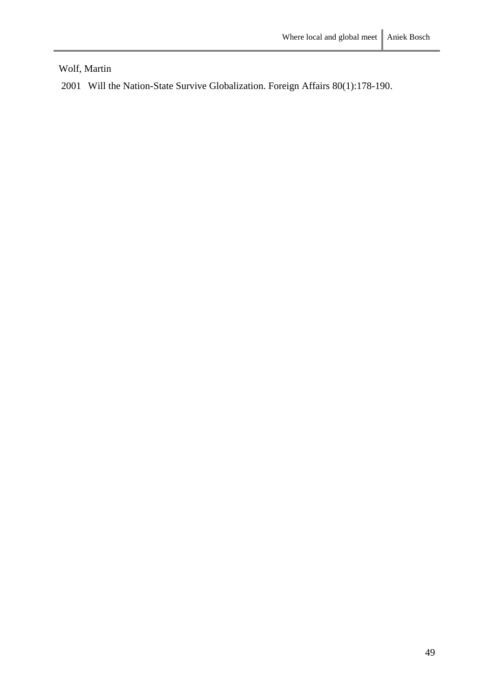Wolf, Martin

2001 Will the Nation-State Survive Globalization. Foreign Affairs 80(1):178-190.